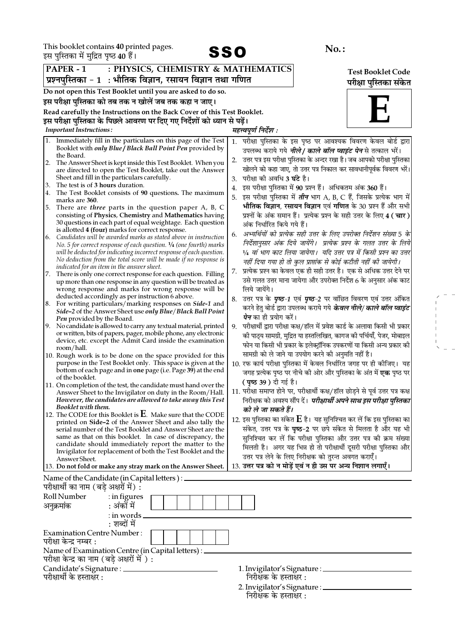This booklet contains 40 printed pages. इस पुस्तिका में मुद्रित पृष्ठ 40 हैं।



 $\overline{\phantom{a}}$ 

| इस पुस्तिका में मुद्रित पृष्ठ 40 है।<br>JJV                                                                                              |                                                                                                             |  |  |
|------------------------------------------------------------------------------------------------------------------------------------------|-------------------------------------------------------------------------------------------------------------|--|--|
| : PHYSICS, CHEMISTRY & MATHEMATICS<br>PAPER - 1                                                                                          | <b>Test Booklet Code</b>                                                                                    |  |  |
| प्रश्नपुस्तिका - 1  : भौतिक विज्ञान, रसायन विज्ञान तथा गणित                                                                              | परीक्षा पुस्तिका संकेत                                                                                      |  |  |
| Do not open this Test Booklet until you are asked to do so.                                                                              |                                                                                                             |  |  |
| इस परीक्षा पुस्तिका को तब तक न खोलें जब तक कहा न जाए।                                                                                    |                                                                                                             |  |  |
| Read carefully the Instructions on the Back Cover of this Test Booklet.                                                                  |                                                                                                             |  |  |
| इस परीक्षा पुस्तिका के पिछले आवरण पर दिए गए निर्देशों को ध्यान से पढ़ें।                                                                 |                                                                                                             |  |  |
| <b>Important Instructions:</b>                                                                                                           | महत्त्वपूर्ण निर्देश :                                                                                      |  |  |
| 1. Immediately fill in the particulars on this page of the Test                                                                          | परीक्षा पुस्तिका के इस पृष्ठ पर आवश्यक विवरण केवल बोर्ड द्वारा<br>1.                                        |  |  |
| Booklet with only Blue / Black Ball Point Pen provided by<br>the Board.                                                                  | उपलब्ध कराये गये <i><b>नीले/ काले बॉल प्वाइंट पेन</b></i> से तत्काल भरें।                                   |  |  |
| The Answer Sheet is kept inside this Test Booklet. When you<br>2.                                                                        | उत्तर पत्र इस परीक्षा पुस्तिका के अन्दर रखा है। जब आपको परीक्षा पुस्तिका<br>2.                              |  |  |
| are directed to open the Test Booklet, take out the Answer                                                                               | खोलने को कहा जाए, तो उत्तर पत्र निकाल कर सावधानीपूर्वक विवरण भरें।                                          |  |  |
| Sheet and fill in the particulars carefully.                                                                                             | परीक्षा को अवधि <b>3 घंटे</b> है।<br>3.                                                                     |  |  |
| The test is of 3 hours duration.<br>3.<br>The Test Booklet consists of 90 questions. The maximum                                         | इस परीक्षा पुस्तिका में 90 प्रश्न हैं। अधिकतम अंक 360 हैं।<br>4.                                            |  |  |
| marks are 360.                                                                                                                           | इस परीक्षा पुस्तिका में <i>तीन</i> भाग A, B, C हैं, जिसके प्रत्येक भाग में                                  |  |  |
| 5.<br>There are <i>three</i> parts in the question paper A, B, C                                                                         | भौतिक विज्ञान, रसायन विज्ञान एवं गणित के 30 प्रश्न हैं और सभी                                               |  |  |
| consisting of Physics, Chemistry and Mathematics having<br>30 questions in each part of equal weightage. Each question                   | प्रश्नों के अंक समान हैं। प्रत्येक प्रश्न के सही उत्तर के लिए 4 ( चार )                                     |  |  |
| is allotted 4 (four) marks for correct response.                                                                                         | अंक निर्धारित किये गये हैं।                                                                                 |  |  |
| Candidates will be awarded marks as stated above in instruction<br>6.                                                                    | अभ्यर्थियों को प्रत्येक सही उत्तर के लिए उपरोक्त निर्देशन संख्या 5 के<br>6.                                 |  |  |
| No. 5 for correct response of each question. $\frac{1}{4}$ (one fourth) marks                                                            | निर्देशानुसार अंक दिये जायेंगे।  प्रत्येक प्रश्न के गलत उत्तर के लिये                                       |  |  |
| will be deducted for indicating incorrect response of each question.<br>No deduction from the total score will be made if no response is | 1/4 वां भाग काट लिया जायेगा।  यदि उत्तर पत्र में किसी प्रश्न का उत्तर                                       |  |  |
| indicated for an item in the answer sheet.                                                                                               | नहीं दिया गया हो तो कुल प्राप्तांक से कोई कटौती नहीं की जायेगी।                                             |  |  |
| 7. There is only one correct response for each question. Filling                                                                         | प्रत्येक प्रश्न का केवल एक ही सही उत्तर है। एक से अधिक उत्तर देने पर                                        |  |  |
| up more than one response in any question will be treated as                                                                             | उसे गलत उत्तर माना जायेगा और उपरोक्त निर्देश 6 के अनुसार अंक काट                                            |  |  |
| wrong response and marks for wrong response will be<br>deducted accordingly as per instruction 6 above.                                  | लिये जायेंगे।                                                                                               |  |  |
| 8. For writing particulars/marking responses on Side-1 and                                                                               | उत्तर पत्र के <i>पृष्ठ-1</i> एवं <i>पृष्ठ-2</i> पर वांछित विवरण एवं उत्तर अंकित<br>8.                       |  |  |
| Side-2 of the Answer Sheet use only Blue/Black Ball Point                                                                                | करने हेतु बोर्ड द्वारा उपलब्ध कराये गये <i>केवल नीले/ काले बॉल प्वाइंट</i><br><i>पेन</i> का ही प्रयोग करें। |  |  |
| Pen provided by the Board.<br>9. No candidate is allowed to carry any textual material, printed                                          | परीक्षार्थी द्वारा परीक्षा कक्ष/हॉल में प्रवेश कार्ड के अलावा किसी भी प्रकार                                |  |  |
| or written, bits of papers, pager, mobile phone, any electronic                                                                          | 9.<br>की पाठ्य सामग्री, मुद्रित या हस्तलिखित, कागज की पर्चियाँ, पेजर, मोबाइल                                |  |  |
| device, etc. except the Admit Card inside the examination                                                                                | फोन या किसी भी प्रकार के इलेक्ट्रॉनिक उपकरणों या किसी अन्य प्रकार की                                        |  |  |
| room/hall.                                                                                                                               | सामग्री को ले जाने या उपयोग करने की अनुमति नहीं है।                                                         |  |  |
| 10. Rough work is to be done on the space provided for this<br>purpose in the Test Booklet only. This space is given at the              | 10. रफ कार्य परीक्षा पुस्तिका में केवल निर्धारित जगह पर ही कीजिए। यह                                        |  |  |
| bottom of each page and in one page (i.e. Page 39) at the end                                                                            | जगह प्रत्येक पृष्ठ पर नीचे की ओर और पुस्तिका के अंत में <b>एक</b> पृष्ठ पर                                  |  |  |
| of the booklet.                                                                                                                          | <b>( पृष्ठ 39 )</b> दी गई है।                                                                               |  |  |
| 11. On completion of the test, the candidate must hand over the                                                                          | 11. परीक्षा समाप्त होने पर, परीक्षार्थी कक्ष/हॉल छोड़ने से पूर्व उत्तर पत्र कक्ष                            |  |  |
| Answer Sheet to the Invigilator on duty in the Room/Hall.<br>However, the candidates are allowed to take away this Test                  | निरीक्षक को अवश्य सौंप दें। <i>परीक्षार्थी अपने साथ इस परीक्षा पुस्तिका</i>                                 |  |  |
| Booklet with them.                                                                                                                       | को ले जा सकते हैं।                                                                                          |  |  |
| 12. The CODE for this Booklet is $E$ . Make sure that the CODE                                                                           | 12. इस पुस्तिका का संकेत ${\bf E}$ है। यह सुनिश्चित कर लें कि इस पुस्तिका का                                |  |  |
| printed on Side-2 of the Answer Sheet and also tally the<br>serial number of the Test Booklet and Answer Sheet are the                   | संकेत, उत्तर पत्र के <b>पृष्ठ-2</b> पर छपे संकेत से मिलता है और यह भी                                       |  |  |
| same as that on this booklet. In case of discrepancy, the                                                                                | सुनिश्चित कर लें कि परीक्षा पुस्तिका और उत्तर पत्र की क्रम संख्या                                           |  |  |
| candidate should immediately report the matter to the                                                                                    | मिलती है। अगर यह भिन्न हो तो परीक्षार्थी दूसरी परीक्षा पुस्तिका और                                          |  |  |
| Invigilator for replacement of both the Test Booklet and the                                                                             | उत्तर पत्र लेने के लिए निरीक्षक को तुरन्त अवगत कराएँ।                                                       |  |  |
| Answer Sheet.<br>13. Do not fold or make any stray mark on the Answer Sheet.                                                             | 13. उत्तर पत्र को न मोड़ें एवं न ही उस पर अन्य निशान लगाएँ।                                                 |  |  |
| Name of the Candidate (in Capital letters) : _                                                                                           |                                                                                                             |  |  |
| परीक्षार्थी का नाम (बडे अक्षरों में) :                                                                                                   |                                                                                                             |  |  |
| Roll Number<br>$:$ in figures                                                                                                            |                                                                                                             |  |  |
| : अंकों में<br>अनुक्रमांक                                                                                                                |                                                                                                             |  |  |
| : in words_                                                                                                                              |                                                                                                             |  |  |
| : शब्दों में                                                                                                                             |                                                                                                             |  |  |
| <b>Examination Centre Number:</b>                                                                                                        |                                                                                                             |  |  |
| परीक्षा केन्द्र नम्बर :                                                                                                                  |                                                                                                             |  |  |
| Name of Examination Centre (in Capital letters) :                                                                                        |                                                                                                             |  |  |
| परीक्षा केन्द्र का नाम (बड़े अक्षरों में):                                                                                               |                                                                                                             |  |  |
| Candidate's Signature : ________                                                                                                         | 1. Invigilator's Signature : __________                                                                     |  |  |
| परीक्षार्थी के हस्ताक्षर :                                                                                                               | निरीक्षक के हस्ताक्षर :                                                                                     |  |  |

2. Invigilator's Signature : निरीक्षॅक के हस्ताक्षर :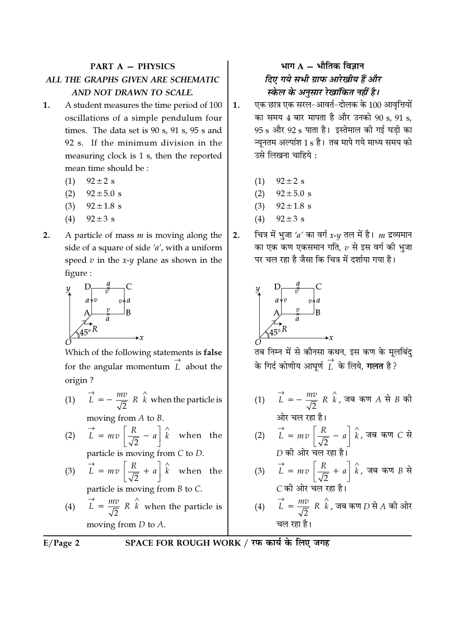### **PART A - PHYSICS** ALL THE GRAPHS GIVEN ARE SCHEMATIC AND NOT DRAWN TO SCALE.

- $\mathbf{1}$ . A student measures the time period of 100 oscillations of a simple pendulum four times. The data set is  $90 s$ ,  $91 s$ ,  $95 s$  and 92 s. If the minimum division in the measuring clock is 1 s, then the reported mean time should be:
	- $92 \pm 2$  s  $(1)$
	- $92 \pm 5.0 s$  $(2)$
	- $(3)$  $92 \pm 1.8$  s
	- $(4)$  $92 \pm 3$  s
- $2.$ A particle of mass  $m$  is moving along the side of a square of side  $'a'$ , with a uniform speed  $v$  in the  $x-y$  plane as shown in the figure:



Which of the following statements is false for the angular momentum  $\overrightarrow{L}$  about the origin?

- (1)  $\vec{L} = -\frac{mv}{\sqrt{2}} R \hat{k}$  when the particle is moving from  $A$  to  $B$ .
- (2)  $\vec{L} = m v \left[ \frac{R}{\sqrt{2}} a \right] \hat{k}$  when the particle is moving from  $C$  to  $D$ .
- (3)  $\vec{L} = m v \left[ \frac{R}{\sqrt{2}} + a \right] \hat{k}$  when the particle is moving from  $B$  to  $C$ .
- (4)  $\vec{L} = \frac{mv}{\sqrt{2}} R \hat{k}$  when the particle is moving from  $D$  to  $A$ .

 $E/Page$  2

# SPACE FOR ROUGH WORK / रफ कार्य के लिए जगह

## भाग  $A - \hat{A}$ मीतिक विज्ञान दिए गये सभी ग्राफ आरेखीय हैं और स्केल के अनुसार रेखांकित नहीं है।

- एक छात्र एक सरल–आवर्त–दोलक के 100 आवत्तियों  $\overline{1}$ . का समय 4 बार मापता है और उनको 90 s, 91 s, 95 s और 92 s पाता है। इस्तेमाल की गई घडी का न्यनतम अल्पांश 1 s है। तब मापे गये माध्य समय को उसे लिखना चाहिये :
	- $(1)$  $92 \pm 2$  s
	- $92 \pm 5.0 s$  $(2)$
	- $(3)$   $92 \pm 1.8$  s
	- $(4)$  $92 \pm 3$  s
- चित्र में भुजा 'a' का वर्ग x- $y$  तल में है।  $m$  द्रव्यमान  $2.$ का एक कण एकसमान गति,  $v$  से इस वर्ग की भुजा पर चल रहा है जैसा कि चित्र में दर्शाया गया है।



U<br>तब निम्न में से कौनसा कथन, इस कण के मूलबिंदु के गिर्द कोणीय आघर्ण  $\overrightarrow{L}$  के लिये, **गलत** है?

- (1)  $\overrightarrow{L} = -\frac{mv}{\sqrt{2}} R \overrightarrow{k}$ , जब कण A से B की ओर चल रहा है।
- (2)  $\vec{L} = mv \left[ \frac{R}{\sqrt{2}} a \right] \hat{k}$ , जब कण *C* से  $D$  की ओर चल रहा है
- (3)  $\vec{L} = mv \left[ \frac{R}{\sqrt{2}} + a \right] \hat{k}$ , जब कण B से  $C$  की ओर चल रहा है।
- (4)  $\overrightarrow{L} = \frac{mv}{\sqrt{2}} R \overrightarrow{k}$ , जब कण  $D$  से A की ओर चल रहा है।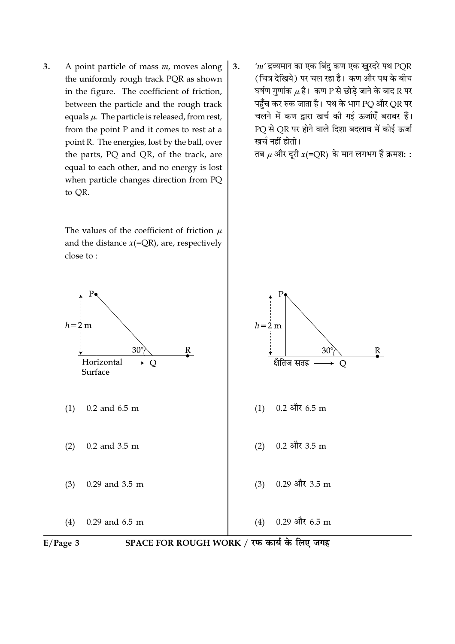A point particle of mass  $m$ , moves along 3. the uniformly rough track PQR as shown in the figure. The coefficient of friction, between the particle and the rough track equals  $\mu$ . The particle is released, from rest, from the point P and it comes to rest at a point R. The energies, lost by the ball, over the parts, PQ and QR, of the track, are equal to each other, and no energy is lost when particle changes direction from PQ to QR.

> The values of the coefficient of friction  $\mu$ and the distance  $x(=\overline{QR})$ , are, respectively close to:

 $m'$ द्रव्यमान का एक बिंदु कण एक खुरदरे पथ PQR  $3.$ (चित्र देखिये) पर चल रहा है। कण और पथ के बीच घर्षण गुणांक  $\mu$  है। कण P से छोडे जाने के बाद R पर पहुँच कर रुक जाता है। पथ के भाग PQ और QR पर चलने में कण द्वारा खर्च की गई ऊर्जाएँ बराबर हैं। PQ से QR पर होने वाले दिशा बदलाव में कोई ऊर्जा खर्च नहीं होती।

तब  $\mu$  और दूरी  $x(=\overline{\text{QR}})$  के मान लगभग हैं क्रमश: :



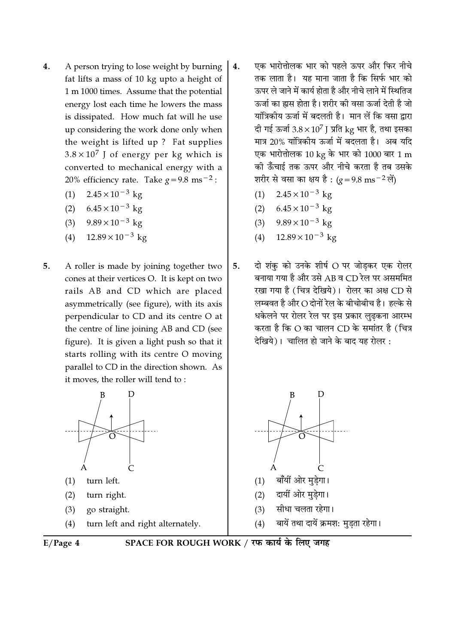- A person trying to lose weight by burning  $4.$ fat lifts a mass of 10 kg upto a height of 1 m 1000 times. Assume that the potential energy lost each time he lowers the mass is dissipated. How much fat will he use up considering the work done only when the weight is lifted up? Fat supplies  $3.8 \times 10^7$  J of energy per kg which is converted to mechanical energy with a 20% efficiency rate. Take  $g = 9.8$  ms<sup>-2</sup>:
	- $2.45 \times 10^{-3}$  kg  $(1)$
	- $6.45 \times 10^{-3}$  kg  $(2)$
	- $9.89 \times 10^{-3}$  kg  $(3)$
	- $12.89 \times 10^{-3}$  kg  $(4)$
- 5. A roller is made by joining together two cones at their vertices O. It is kept on two rails AB and CD which are placed asymmetrically (see figure), with its axis perpendicular to CD and its centre O at the centre of line joining AB and CD (see figure). It is given a light push so that it starts rolling with its centre O moving parallel to CD in the direction shown. As it moves, the roller will tend to:



turn left.  $(1)$ 

- $(2)$ turn right.
- go straight.  $(3)$
- $(4)$ turn left and right alternately.
- एक भारोत्तोलक भार को पहले ऊपर और फिर नीचे 4. तक लाता है। यह माना जाता है कि सिर्फ भार को ऊपर ले जाने में कार्य होता है और नीचे लाने में स्थितिज ऊर्जा का ह्रास होता है। शरीर की वसा ऊर्जा देती है जो यांत्रिकीय ऊर्जा में बदलती है। मान लें कि वसा द्वारा दी गई ऊर्जा  $3.8 \times 10^7$  J प्रति kg भार है, तथा इसका मात्र 20% यांत्रिकीय ऊर्जा में बदलता है। अब यदि एक भारोत्तोलक 10 kg के भार को 1000 बार 1 m की ऊँँचाई तक ऊपर और नीचे करता है तब उसके शरीर से वसा का क्षय है : (g = 9.8 ms<sup>-2</sup> लें)
	- $2.45 \times 10^{-3}$  kg  $(1)$
	- (2)  $6.45 \times 10^{-3}$  kg
	- $9.89 \times 10^{-3}$  kg  $(3)$
	- $12.89 \times 10^{-3}$  kg  $(4)$
- दो शंकु को उनके शीर्ष O पर जोडकर एक रोलर  $5.$ बनाया गया है और उसे AB व CD रेल पर असममित रखा गया है (चित्र देखिये)। रोलर का अक्ष CD से लम्बवत है और O दोनों रेल के बीचोबीच है। हल्के से धकेलने पर रोलर रेल पर इस प्रकार लुढकना आरम्भ करता है कि O का चालन CD के समांतर है (चित्र देखिये)। चालित हो जाने के बाद यह रोलर:



- बाँयों ओर मुडेगा।  $(1)$
- दायीं ओर मुडेगा।  $(2)$
- सीधा चलता रहेगा।  $(3)$
- बायें तथा दायें क्रमश: मुडता रहेगा।  $(4)$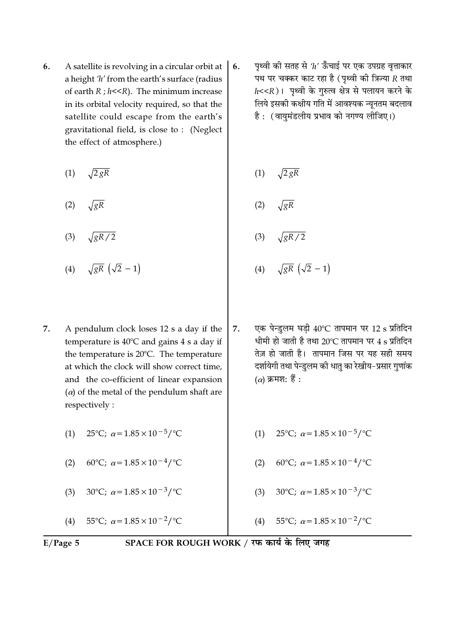- A satellite is revolving in a circular orbit at 6. a height  $'h'$  from the earth's surface (radius of earth  $R$ ;  $h$ << $R$ ). The minimum increase in its orbital velocity required, so that the satellite could escape from the earth's gravitational field, is close to: (Neglect the effect of atmosphere.)
	- $(1)$  $\sqrt{2 gR}$
	- $(2)$  $\sqrt{gR}$
	- $\sqrt{gR/2}$  $(3)$
	- $\sqrt{gR}$   $(\sqrt{2}-1)$  $(4)$
- 7. A pendulum clock loses 12 s a day if the temperature is  $40^{\circ}$ C and gains 4 s a day if the temperature is 20°C. The temperature at which the clock will show correct time, and the co-efficient of linear expansion  $\alpha$  of the metal of the pendulum shaft are respectively:

25°C;  $\alpha = 1.85 \times 10^{-5}$ /°C  $(1)$ 

- 60°C;  $\alpha$  = 1.85 × 10<sup>-4</sup>/°C  $(2)$
- 30°C;  $\alpha = 1.85 \times 10^{-3}$ /°C  $(3)$

55°C;  $\alpha = 1.85 \times 10^{-2}$ /°C  $(4)$ 

पृथ्वी की सतह से ' $h'$  ऊँचाई पर एक उपग्रह वृत्ताकार 6. पथ पर चक्कर काट रहा है (पृथ्वी की त्रिज्या R तथा  $h$ <<R)। पृथ्वी के गुरुत्व क्षेत्र से पलायन करने के लिये इसकी कक्षीय गति में आवश्यक न्यूनतम बदलाव है : (वायुमंडलीय प्रभाव को नगण्य लीजिए।)

$$
(1) \quad \sqrt{2 \, gR}
$$

$$
(2) \quad \sqrt{gR}
$$

$$
(3) \quad \sqrt{gR/2}
$$

- (4)  $\sqrt{gR} (\sqrt{2} 1)$
- एक पेन्डलम घडी 40°C तापमान पर 12 s प्रतिदिन 7. धीमी हो जाती है तथा 20°C तापमान पर 4 s प्रतिदिन तेज़ हो जाती है। तापमान जिस पर यह सही समय दर्शायेगी तथा पेन्डुलम की धातु का रेखीय–प्रसार गुणांक  $(\alpha)$  क्रमश: हैं :
	- $(1)$ 25°C;  $\alpha = 1.85 \times 10^{-5}$ /°C
	- 60°C;  $\alpha$  = 1.85 × 10<sup>-4</sup>/°C  $(2)$
	- 30°C;  $\alpha = 1.85 \times 10^{-3}$ /°C  $(3)$
	- 55°C;  $\alpha$  = 1.85 × 10<sup>-2</sup>/°C  $(4)$

 $E/Page 5$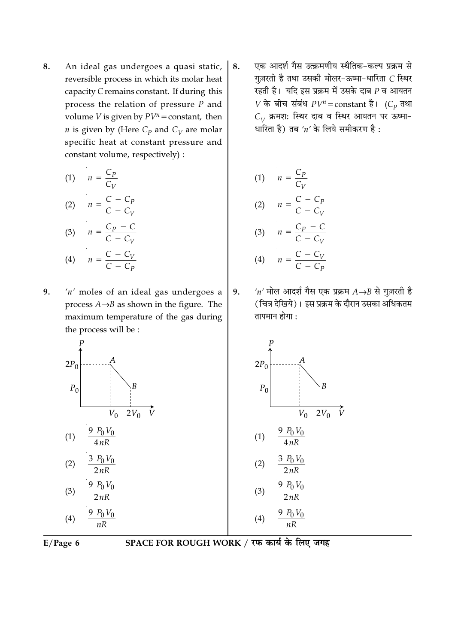8. An ideal gas undergoes a quasi static, reversible process in which its molar heat capacity C remains constant. If during this process the relation of pressure  $P$  and volume *V* is given by  $PV^n$  = constant, then *n* is given by (Here  $C_p$  and  $C_V$  are molar specific heat at constant pressure and constant volume, respectively) :

(1) 
$$
n = \frac{C_P}{C_V}
$$
  
\n(2) 
$$
n = \frac{C - C_P}{C - C_V}
$$
  
\n(3) 
$$
n = \frac{C_P - C}{C - C_V}
$$
  
\n(4) 
$$
n = \frac{C - C_V}{C - C_P}
$$

9.  $'n'$  moles of an ideal gas undergoes a process  $A \rightarrow B$  as shown in the figure. The maximum temperature of the gas during the process will be :

एक आदर्श गैस उत्क्रमणीय स्थैतिक-कल्प प्रक्रम से 8. गुज़रती है तथा उसकी मोलर-ऊष्मा-धारिता C स्थिर रहती है। यदि इस प्रक्रम में उसके दाब  $P$  व आयतन  $V$  के बीच संबंध  $PV^n$ = constant है। ( $C_p$  तथा  $C_{\scriptscriptstyle V}$  क्रमश: स्थिर दाब व स्थिर आयतन पर ऊष्मा-धारिता है) तब ' $n'$  के लिये समीकरण है:

(1) 
$$
n = \frac{C_P}{C_V}
$$
  
\n(2) 
$$
n = \frac{C - C_P}{C - C_V}
$$
  
\n(3) 
$$
n = \frac{C_P - C}{C - C_V}
$$
  
\n(4) 
$$
n = \frac{C - C_V}{C - C_P}
$$

'n' मोल आदर्श गैस एक प्रक्रम  $A\rightarrow B$  से गुज़रती है 9. (चित्र देखिये)। इस प्रक्रम के दौरान उसका अधिकतम तापमान होगा :

 $2V_0$ 





SPACE FOR ROUGH WORK / रफ कार्य के लिए जगह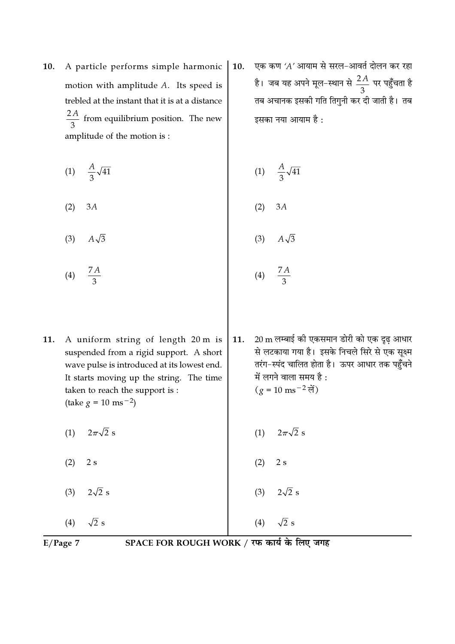A particle performs simple harmonic 10. motion with amplitude A. Its speed is trebled at the instant that it is at a distance  $\frac{2A}{3}$  from equilibrium position. The new amplitude of the motion is:

$$
(1) \quad \frac{A}{3}\sqrt{41}
$$

 $(2)$  $3A$ 

- $(3)$  $A\sqrt{3}$
- $(4)$
- $11.$ A uniform string of length 20 m is suspended from a rigid support. A short wave pulse is introduced at its lowest end. It starts moving up the string. The time taken to reach the support is: (take  $g = 10$  ms<sup>-2</sup>)
	- $2\pi\sqrt{2}$  s  $(1)$
	- $(2)$  $2s$
	- $2\sqrt{2}$  s  $(3)$
	- $(4)$  $\sqrt{2}$  s

एक कण 'A' आयाम से सरल-आवर्त दोलन कर रहा 10. है। जब यह अपने मूल-स्थान से  $\frac{2A}{3}$  पर पहुँचता है तब अचानक इसकी गति तिगुनी कर दी जाती है। तब इसका नया आयाम है :

(1) 
$$
\frac{A}{3}\sqrt{41}
$$
  
\n(2) 3A  
\n(3)  $A\sqrt{3}$   
\n(4)  $\frac{7A}{3}$ 

- $20 \text{ m}$  लम्बाई की एकसमान डोरी को एक दृढ़ आधार 11. से लटकाया गया है। इसके निचले सिरे से एक सूक्ष्म तरंग-स्पंद चालित होता है। ऊपर आधार तक पहुँचने में लगने वाला समय है:  $(g = 10 \text{ ms}^{-2} \text{ m})$ 
	- $2\pi\sqrt{2}$  s  $(1)$
	- $(2)$  $2s$

 $(4)$ 

 $2\sqrt{2}$  s  $(3)$ 

 $\sqrt{2}$  s

 $E/Page$  7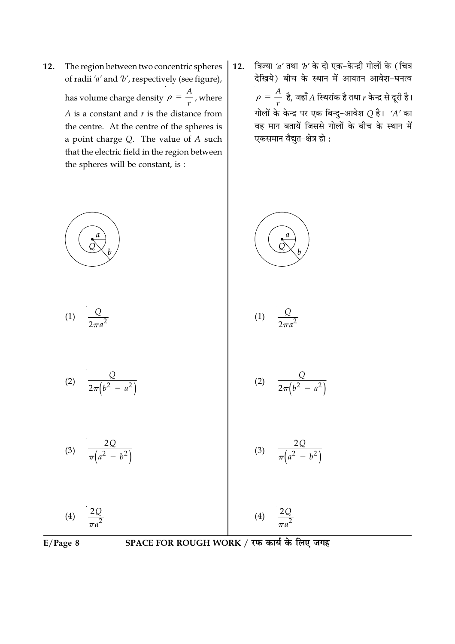- 12. The region between two concentric spheres of radii 'a' and 'b', respectively (see figure), has volume charge density  $\rho = \frac{A}{r}$ , where  $A$  is a constant and  $r$  is the distance from the centre. At the centre of the spheres is a point charge  $Q$ . The value of  $A$  such that the electric field in the region between the spheres will be constant, is:
- त्रिज्या 'a' तथा 'b' के दो एक-केन्द्री गोलों के (चित्र 12. देखिये) बीच के स्थान में आयतन आवेश-घनत्व  $\rho = \dfrac{A}{r}$  है, जहाँ A स्थिरांक है तथा  $r$  केन्द्र से दूरी है। गोलों के केन्द्र पर एक बिन्दु-आवेश  $Q$  है। 'A' का वह मान बतायें जिससे गोलों के बीच के स्थान में एकसमान वैद्युत-क्षेत्र हो:

(1) 
$$
\frac{Q}{2\pi a^2}
$$
  
\n(2)  $\frac{Q}{2\pi (b^2 - a^2)}$   
\n(3)  $\frac{2Q}{\pi (a^2 - b^2)}$   
\n(4)  $\frac{2Q}{\pi a^2}$   
\n(5)  $\frac{2Q}{\pi (a^2 - b^2)}$   
\n(6)  $\frac{2Q}{\pi (a^2 - b^2)}$   
\n(7)  $\frac{Q}{2\pi (b^2 - a^2)}$   
\n(8)  $\frac{2Q}{\pi (a^2 - b^2)}$ 

$$
E/Page\ 8
$$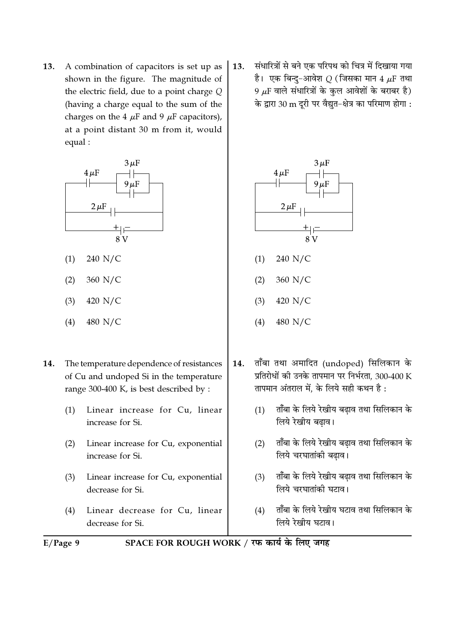A combination of capacitors is set up as 13. shown in the figure. The magnitude of the electric field, due to a point charge  $Q$ (having a charge equal to the sum of the charges on the 4  $\mu$ F and 9  $\mu$ F capacitors), at a point distant 30 m from it, would equal:



- 240 N/C  $(1)$
- $(2)$ 360 N/C
- 420 N/C  $(3)$
- $(4)$ 480 N/C
- 14. The temperature dependence of resistances of Cu and undoped Si in the temperature range 300-400 K, is best described by:
	- $(1)$ Linear increase for Cu, linear increase for Si.
	- Linear increase for Cu, exponential  $(2)$ increase for Si.
	- Linear increase for Cu, exponential  $(3)$ decrease for Si.
	- $(4)$ Linear decrease for Cu, linear decrease for Si.

संधारित्रों से बने एक परिपथ को चित्र में दिखाया गया 13. है। एक बिन्दु-आवेश  $Q$  (जिसका मान 4  $\mu$ F तथा 9  $\mu$ F वाले संधारित्रों के कुल आवेशों के बराबर है) के द्वारा 30 m दूरी पर वैद्युत-क्षेत्र का परिमाण होगा :



- $240$  N/C  $(1)$
- $(2)$ 360 N/C
- 420 N/C  $(3)$
- $(4)$ 480 N/C
- ताँबा तथा अमादित (undoped) सिलिकान के 14. प्रतिरोधों की उनके तापमान पर निर्भरता. 300-400 K तापमान अंतराल में, के लिये सही कथन है:
	- ताँबा के लिये रेखीय बढ़ाव तथा सिलिकान के  $(1)$ लिये रेखीय बढाव।
	- ताँबा के लिये रेखीय बढाव तथा सिलिकान के  $(2)$ लिये चरघातांकी बढ़ाव।
	- ताँबा के लिये रेखीय बढाव तथा सिलिकान के  $(3)$ लिये चरघातांकी घटाव।
	- ताँबा के लिये रेखीय घटाव तथा सिलिकान के  $(4)$ लिये रेखीय घटाव।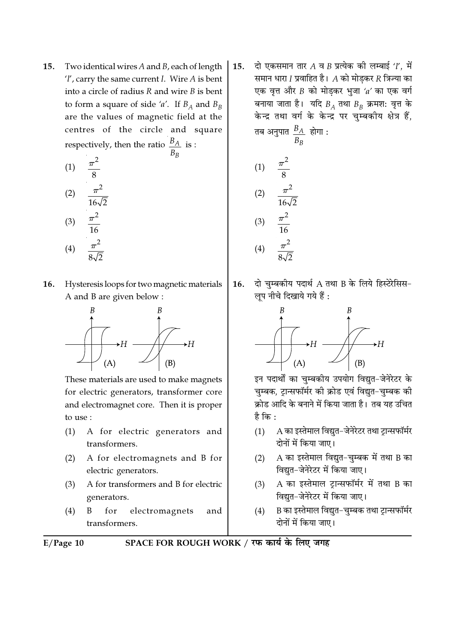Two identical wires A and B, each of length  $15.$  $'l'$ , carry the same current *I*. Wire *A* is bent into a circle of radius  $R$  and wire  $B$  is bent to form a square of side 'a'. If  $B_A$  and  $B_B$ are the values of magnetic field at the centres of the circle and square respectively, then the ratio  $\frac{B_A}{B_B}$  is :

(1) 
$$
\frac{\pi^2}{8}
$$
  
\n(2)  $\frac{\pi^2}{16\sqrt{2}}$   
\n(3)  $\frac{\pi^2}{16}$   
\n(4)  $\frac{\pi^2}{8\sqrt{2}}$ 

Hysteresis loops for two magnetic materials 16. A and B are given below:



These materials are used to make magnets for electric generators, transformer core and electromagnet core. Then it is proper to use :

- A for electric generators and  $(1)$ transformers.
- A for electromagnets and B for  $(2)$ electric generators.
- A for transformers and B for electric  $(3)$ generators.
- $(4)$ B for electromagnets and transformers.

दो एकसमान तार A व B प्रत्येक की लम्बाई  $'l'$ , में 15. समान धारा I प्रवाहित है।  $A$  को मोड़कर R त्रिज्या का एक वृत्त और  $B$  को मोड़कर भुजा 'a' का एक वर्ग बनाया जाता है। यदि  $B_A$  तथा  $B_B$  क्रमश: वृत्त के केन्द्र तथा वर्ग के केन्द्र पर चुम्बकीय क्षेत्र हैं, तब अनुपात  $\frac{B_A}{B_B}$  होगा :

(1) 
$$
\frac{\pi^2}{8}
$$
  
\n(2)  $\frac{\pi^2}{16\sqrt{2}}$   
\n(3)  $\frac{\pi^2}{16}$   
\n(4)  $\frac{\pi^2}{8\sqrt{2}}$ 

दो चुम्बकीय पदार्थ A तथा B के लिये हिस्टेरेसिस-16. लूप नीचे दिखाये गये हैं :



इन पदार्थों का चुम्बकीय उपयोग विद्युत-जेनेरेटर के चुम्बक, ट्रान्सफॉर्मर की क्रोड एवं विद्युत-चुम्बक की क्रोड आदि के बनाने में किया जाता है। तब यह उचित है कि $\cdot$ 

- A का इस्तेमाल विद्युत-जेनेरेटर तथा ट्रान्सफॉर्मर  $(1)$ दोनों में किया जाए।
- A का इस्तेमाल विद्यत-चम्बक में तथा B का  $(2)$ विद्युत-जेनेरेटर में किया जाए।
- A का इस्तेमाल ट्रान्सफॉर्मर में तथा B का  $(3)$ विद्युत-जेनेरेटर में किया जाए।
- B का इस्तेमाल विद्युत-चुम्बक तथा ट्रान्सफॉर्मर  $(4)$ दोनों में किया जाए।

 $E/Page$  10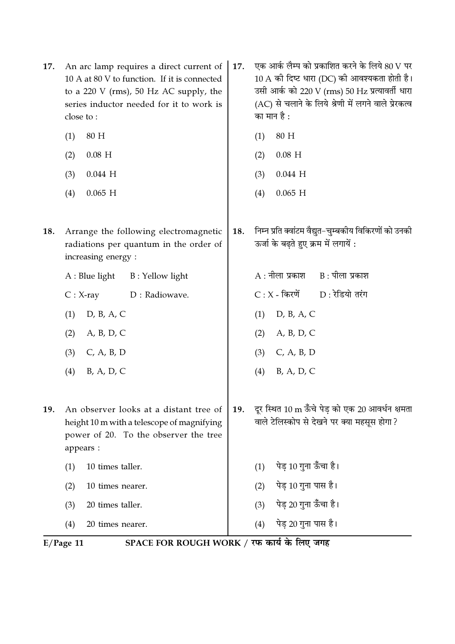|     | SPACE FOR ROUGH WORK / रफ कार्य के लिए जगह<br>$E/Page$ 11                                                                                                                                   |     |                                                                                                                                                                                                                                    |  |
|-----|---------------------------------------------------------------------------------------------------------------------------------------------------------------------------------------------|-----|------------------------------------------------------------------------------------------------------------------------------------------------------------------------------------------------------------------------------------|--|
|     | (4)<br>20 times nearer.                                                                                                                                                                     |     | पेड़ 20 गुना पास है।<br>(4)                                                                                                                                                                                                        |  |
|     | (3)<br>20 times taller.                                                                                                                                                                     |     | पेड़ 20 गुना ऊँचा है।<br>(3)                                                                                                                                                                                                       |  |
|     | (2)<br>10 times nearer.                                                                                                                                                                     |     | पेड़ 10 गुना पास है।<br>(2)                                                                                                                                                                                                        |  |
|     | 10 times taller.<br>(1)                                                                                                                                                                     |     | पेड़ 10 गुना ऊँचा है।<br>(1)                                                                                                                                                                                                       |  |
| 19. | An observer looks at a distant tree of<br>height 10 m with a telescope of magnifying<br>power of 20. To the observer the tree<br>appears :                                                  | 19. | दूर स्थित 10 m ऊँचे पेड़ को एक 20 आवर्धन क्षमता<br>वाले टेलिस्कोप से देखने पर क्या महसूस होगा ?                                                                                                                                    |  |
|     | (4)<br>B, A, D, C                                                                                                                                                                           |     | B, A, D, C<br>(4)                                                                                                                                                                                                                  |  |
|     | (3)<br>C, A, B, D                                                                                                                                                                           |     | (3)<br>C, A, B, D                                                                                                                                                                                                                  |  |
|     | A, B, D, C<br>(2)                                                                                                                                                                           |     | A, B, D, C<br>(2)                                                                                                                                                                                                                  |  |
|     | D, B, A, C<br>(1)                                                                                                                                                                           |     | D, B, A, C<br>(1)                                                                                                                                                                                                                  |  |
|     | D : Radiowave.<br>$C: X-ray$                                                                                                                                                                |     | $C: X$ - किरणें<br>$D:$ रेडियो तरंग                                                                                                                                                                                                |  |
|     | B : Yellow light<br>$A:$ Blue light                                                                                                                                                         |     | $A:$ नीला प्रकाश<br>B : पीला प्रकाश                                                                                                                                                                                                |  |
| 18. | Arrange the following electromagnetic<br>radiations per quantum in the order of<br>increasing energy:                                                                                       | 18. | निम्न प्रति क्वांटम वैद्युत–चुम्बकीय विकिरणों को उनकी<br>ऊर्जा के बढ़ते हुए क्रम में लगायें :                                                                                                                                      |  |
|     | (4)<br>$0.065$ H                                                                                                                                                                            |     | $0.065$ H<br>(4)                                                                                                                                                                                                                   |  |
|     | (3)<br>$0.044$ H                                                                                                                                                                            |     | $0.044$ H<br>(3)                                                                                                                                                                                                                   |  |
|     | $0.08\,$ H<br>(2)                                                                                                                                                                           |     | $0.08\,$ H<br>(2)                                                                                                                                                                                                                  |  |
|     | $80\ \mathrm{H}$<br>(1)                                                                                                                                                                     |     | 80 H<br>(1)                                                                                                                                                                                                                        |  |
| 17. | An arc lamp requires a direct current of<br>10 A at 80 V to function. If it is connected<br>to a 220 V (rms), 50 Hz AC supply, the<br>series inductor needed for it to work is<br>close to: | 17. | एक आर्क लैम्प को प्रकाशित करने के लिये 80 V पर<br>$10 \text{ A}$ की दिष्ट धारा (DC) की आवश्यकता होती है।<br>उसी आर्क को 220 V (rms) 50 Hz प्रत्यावर्ती धारा<br>(AC) से चलाने के लिये श्रेणी में लगने वाले प्रेरकत्व<br>का मान है : |  |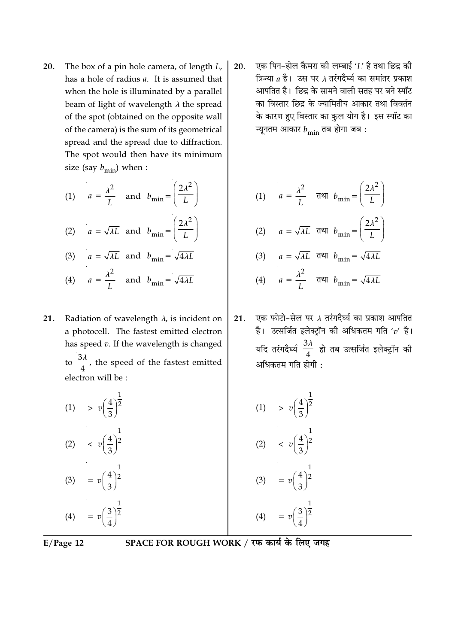The box of a pin hole camera, of length L, 20. has a hole of radius a. It is assumed that when the hole is illuminated by a parallel beam of light of wavelength  $\lambda$  the spread of the spot (obtained on the opposite wall of the camera) is the sum of its geometrical spread and the spread due to diffraction. The spot would then have its minimum size (say  $b_{\text{min}}$ ) when :

(1) 
$$
a = \frac{\lambda^2}{L}
$$
 and  $b_{\min} = \left(\frac{2\lambda^2}{L}\right)$   
\n(2)  $a = \sqrt{\lambda L}$  and  $b_{\min} = \left(\frac{2\lambda^2}{L}\right)$   
\n(3)  $a = \sqrt{\lambda L}$  and  $b_{\min} = \sqrt{4\lambda L}$   
\n(4)  $a = \frac{\lambda^2}{L}$  and  $b_{\min} = \sqrt{4\lambda L}$ 

Radiation of wavelength  $\lambda$ , is incident on 21. a photocell. The fastest emitted electron has speed  $v$ . If the wavelength is changed to  $\frac{3\lambda}{4}$ , the speed of the fastest emitted electron will be :

आपतित है। छिद्र के सामने वाली सतह पर बने स्पॉट का विस्तार छिद्र के ज्यामितीय आकार तथा विवर्तन के कारण हुए विस्तार का कुल योग है। इस स्पॉट का न्यूनतम आकार  $b_{\min}$  तब होगा जब :

20.

(1) 
$$
a = \frac{\lambda^2}{L}
$$
  $\overline{d} = \frac{a}{L}$   $b_{\min} = \left(\frac{2\lambda^2}{L}\right)$   
\n(2)  $a = \sqrt{\lambda L}$   $\overline{d} = \sqrt{\mu}$   $b_{\min} = \left(\frac{2\lambda^2}{L}\right)$   
\n(3)  $a = \sqrt{\lambda L}$   $\overline{d} = \sqrt{\mu}$   $b_{\min} = \sqrt{4\lambda L}$ 

एक पिन-होल कैमरा की लम्बाई ' $L$ ' है तथा छिद्र की

त्रिज्या  $a$  है। उस पर  $\lambda$  तरंगदैर्घ्य का समांतर प्रकाश

$$
(4) \qquad a = \frac{\lambda^2}{L} \quad \text{and} \quad b_{\min} = \sqrt{4\lambda L}
$$

एक फोटो-सेल पर  $\lambda$  तरंगदैर्घ्य का प्रकाश आपतित 21. है। उत्सर्जित इलेक्ट्रॉन की अधिकतम गति ' $v^\prime$  है। यदि तरंगदैर्घ्य $\frac{3\lambda}{4}$  हो तब उत्सर्जित इलेक्ट्रॉन की अधिकतम गति होगी :

(1) 
$$
v\left(\frac{4}{3}\right)^{\frac{1}{2}}
$$
  
\n(2)  $v\left(\frac{4}{3}\right)^{\frac{1}{2}}$   
\n(3)  $= v\left(\frac{4}{3}\right)^{\frac{1}{2}}$   
\n(4)  $= v\left(\frac{3}{4}\right)^{\frac{1}{2}}$   
\n(5)  $v\left(\frac{4}{3}\right)^{\frac{1}{2}}$   
\n(6)  $v\left(\frac{4}{3}\right)^{\frac{1}{2}}$   
\n(7)  $v\left(\frac{4}{3}\right)^{\frac{1}{2}}$   
\n(8)  $= v\left(\frac{4}{3}\right)^{\frac{1}{2}}$   
\n(9)  $= v\left(\frac{4}{3}\right)^{\frac{1}{2}}$   
\n(10)  $> v\left(\frac{4}{3}\right)^{\frac{1}{2}}$   
\n(21)  $< v\left(\frac{4}{3}\right)^{\frac{1}{2}}$   
\n(32)  $= v\left(\frac{4}{3}\right)^{\frac{1}{2}}$   
\n(43)  $= v\left(\frac{3}{4}\right)^{\frac{1}{2}}$ 

 $E/Page$  12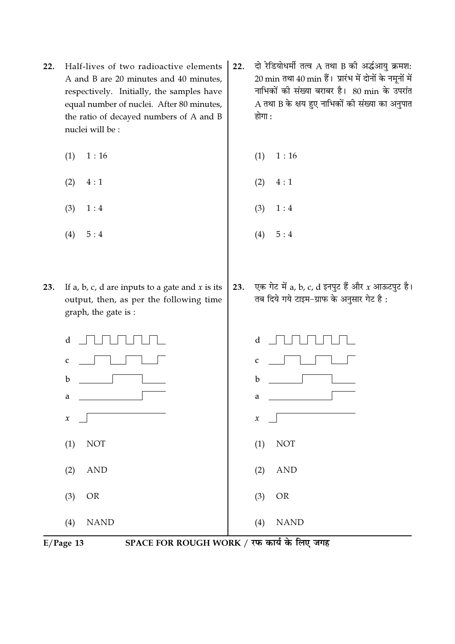- 22. Half-lives of two radioactive elements A and B are 20 minutes and 40 minutes, respectively. Initially, the samples have equal number of nuclei. After 80 minutes, the ratio of decayed numbers of A and B nuclei will be :
	- $(1) \quad 1 : 16$
	- $(2) \quad 4:1$
	- $(3) \quad 1 : 4$
	- $(4) 5:4$
- 23. If a, b, c, d are inputs to a gate and  $x$  is its output, then, as per the following time graph, the gate is :
- 22. दो रेडियोधर्मी तत्व $A$  तथा B की अर्द्धआयु क्रमश:  $20 \text{ min}$  तथा  $40 \text{ min}$  हैं। प्रारंभ में दोनों के नमूनों में नाभिकों की संख्या बराबर है। 80 min के उपरांत A तथा B के क्षय हुए नाभिकों की संख्या का अनुपात होगा $:$ 
	- $(1) \quad 1 : 16$
	- $(2) \quad 4:1$
	- $(3) \quad 1:4$
	- $(4) 5:4$
- 23. एक गेट में a, b, c, d इनपुट हैं और  $x$  आऊटपुट है। तब दिये गये टाइम-ग्राफ के अनुसार गेट है:





E/Page 13 SPACE FOR ROUGH WORK / रफ कार्य के लिए जगह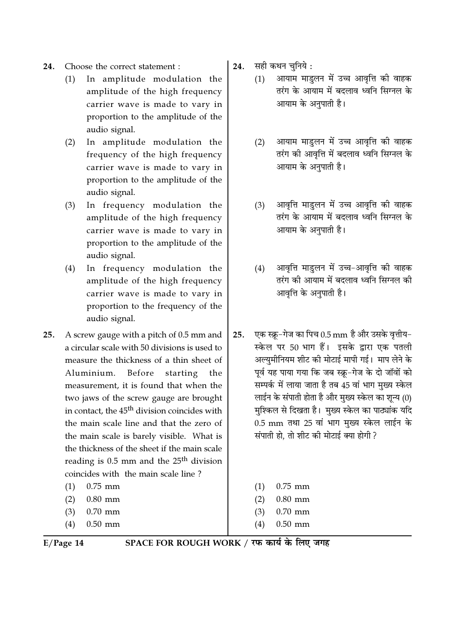- 24. Choose the correct statement :
	- (1) In amplitude modulation the amplitude of the high frequency carrier wave is made to vary in proportion to the amplitude of the audio signal.
	- (2) In amplitude modulation the frequency of the high frequency carrier wave is made to vary in proportion to the amplitude of the audio signal.
	- (3) In frequency modulation the amplitude of the high frequency carrier wave is made to vary in proportion to the amplitude of the audio signal.
	- (4) In frequency modulation the amplitude of the high frequency carrier wave is made to vary in proportion to the frequency of the audio signal.
- 25. A screw gauge with a pitch of 0.5 mm and a circular scale with 50 divisions is used to measure the thickness of a thin sheet of Aluminium. Before starting the measurement, it is found that when the two jaws of the screw gauge are brought in contact, the 45<sup>th</sup> division coincides with the main scale line and that the zero of the main scale is barely visible. What is the thickness of the sheet if the main scale reading is 0.5 mm and the 25<sup>th</sup> division coincides with the main scale line ?
	- (1) 0.75 mm (2) 0.80 mm (3) 0.70 mm
	- (4) 0.50 mm
- 24. सही कथन चनिये:
	- (1) आयाम माडुलन में उच्च आवृत्ति की वाहक तरंग के आयाम में बदलाव ध्वनि सिग्नल के आयाम के अनुपाती है।
	- (2) आयाम माडुलन में उच्च आवृत्ति की वाहक तरंग की आवृत्ति में बदलाव ध्वनि सिग्नल के आयाम के अनुपाती है।
	- (3) आवृत्ति माडुलन में उच्च आवृत्ति को वाहक तरंग के आयाम में बदलाव ध्वनि सिग्नल क<mark>े</mark> आयाम के अनुपाती है।
	- (4) आवृत्ति माडुलन में उच्च−आवृत्ति की वाहक तरंग की आयाम में बदलाव ध्वनि सिग्नल क<mark>ी</mark> आवृत्ति के अनुपाती है।
- 25.  $\,$  एक स्क्र−गेज का पिच  $0.5\,{\rm mm}$  है और उसके वृत्तीय− स्केल पर 50 भाग हैं। इसके द्वारा एक पतली अल्यमीनियम शीट की मोटाई मापी गई। माप लेने के पूर्व यह पाया गया कि जब स्क्र−गेज के दो जॉवों को सम्पर्क में लाया जाता है तब 45 वां भाग मुख्य स्केल लाईन के संपाती होता है और मुख्य स्केल का शन्य (0) मुश्किल से दिखता है। मुख्य स्केल का पाठ्यांक यदि 0.5 mm तथा 25 वां भाग मख्य स्केल लाईन के संपाती हो, तो शीट की मोटाई क्या होगी ?

| (1) | $0.75$ mm             |
|-----|-----------------------|
| (2) | $0.80$ mm             |
| (3) | $0.70 \; \mathrm{mm}$ |
| (4) | $0.50 \text{ mm}$     |

E/Page 14 SPACE FOR ROUGH WORK / **⁄U»§ ∑§Êÿ¸ ∑§ Á‹∞ ¡ª"**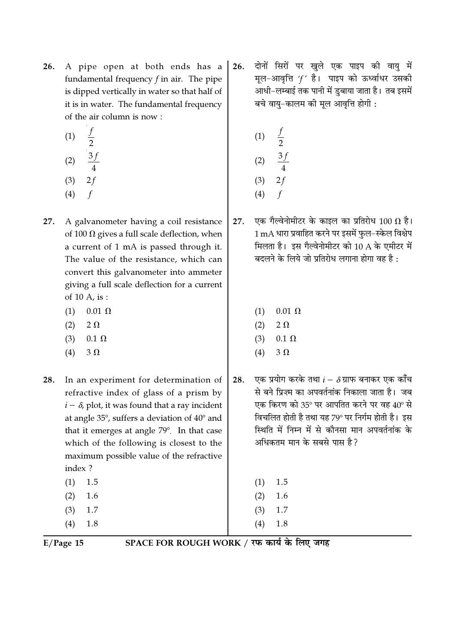- 26. A pipe open at both ends has a fundamental frequency  $f$  in air. The pipe is dipped vertically in water so that half of it is in water. The fundamental frequency of the air column is now:
	- $(1)$
	- $(2)$
	- $2f$  $(3)$
	- $(4)$  $\int$
- 27. A galvanometer having a coil resistance of 100  $\Omega$  gives a full scale deflection, when a current of 1 mA is passed through it. The value of the resistance, which can convert this galvanometer into ammeter giving a full scale deflection for a current of 10 A, is:
	- $0.01 \Omega$  $(1)$
	- $(2)$  $2 \Omega$
	- $(3)$  $0.1 \Omega$
	- $(4)$  $3\Omega$
- 28. In an experiment for determination of refractive index of glass of a prism by  $i - \delta$ , plot, it was found that a ray incident at angle 35°, suffers a deviation of 40° and that it emerges at angle 79°. In that case which of the following is closest to the maximum possible value of the refractive index ?  $(1)$ 1.5
	- $(2)$ 1.6  $(3)$ 1.7
	- $(4)$ 1.8
- दोनों सिरों पर खुले एक पाइप की वायु में 26. मूल-आवृत्ति 'f' है। पाइप को ऊर्ध्वाधर उसकी आधी–लम्बाई तक पानी में डबाया जाता है। तब इसमें बचे वायु-कालम की मूल आवृत्ति होगी :
	- $(1)$  $(2)$  $2f$  $(3)$  $(4)$  $\mathbf{f}$
- एक गैल्वेनोमीटर के काइल का प्रतिरोध 100  $\Omega$  है। 27. 1 mA धारा प्रवाहित करने पर इसमें फल-स्केल विक्षेप मिलता है। इस गैल्वेनोमीटर को 10 A के एमीटर में बदलने के लिये जो प्रतिरोध लगाना होगा वह है:
	- $0.01 \Omega$  $(1)$
	- $2 \Omega$  $(2)$
	- $(3)$  $0.1 \Omega$
	- $(4)$  $3\Omega$
- एक प्रयोग करके तथा  $i-\delta$ ग्राफ बनाकर एक काँच 28. से बने प्रिज्म का अपवर्तनांक निकाला जाता है। जब एक किरण को 35° पर आपतित करने पर वह 40° से विचलित होती है तथा यह 79° पर निर्गम होती है। इस स्थिति में निम्न में से कौनसा मान अपवर्तनांक के अधिकतम मान के सबसे पास है?
- $(1)$ 1.5  $(2)$ 1.6  $(3)$  $1.7$ 1.8  $(4)$

 $E/Page$  15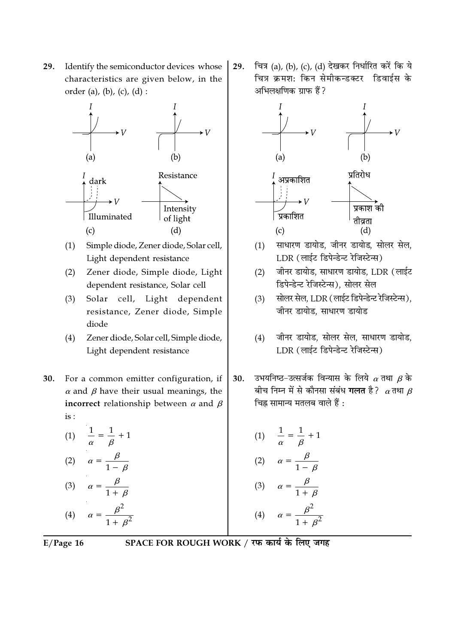29. Identify the semiconductor devices whose characteristics are given below, in the order (a), (b), (c), (d) :



- Simple diode, Zener diode, Solar cell,  $(1)$ Light dependent resistance
- $(2)$ Zener diode, Simple diode, Light dependent resistance, Solar cell
- Solar cell, Light dependent  $(3)$ resistance, Zener diode, Simple diode
- Zener diode, Solar cell, Simple diode,  $(4)$ Light dependent resistance
- 30. For a common emitter configuration, if  $\alpha$  and  $\beta$  have their usual meanings, the **incorrect** relationship between  $\alpha$  and  $\beta$  $is:$

| (1)               | 1<br>ß<br>$\alpha$                                 |
|-------------------|----------------------------------------------------|
| (2)               | B<br>$\alpha$<br>$\beta$<br>$\overline{1}$         |
| (3)               | $\alpha$<br>$\beta$<br>$\mathbf 1$<br>$\mathrm{+}$ |
| $\left( 4\right)$ | 2<br>$\alpha$<br>$\beta^2$                         |

चित्र (a), (b), (c), (d) देखकर निर्धारित करें कि ये 29. चित्र क्रमश: किन सेमीकन्डक्टर डिवाईस के अभिलक्षणिक ग्राफ हैं?



- साधारण डायोड, जीनर डायोड, सोलर सेल,  $(1)$ LDR (लाईट डिपेन्डेन्ट रेजिस्टेन्स)
- जीनर डायोड, साधारण डायोड, LDR (लाईट  $(2)$ डिपेन्डेन्ट रेजिस्टेन्स), सोलर सेल
- सोलर सेल, LDR (लाईट डिपेन्डेन्ट रेजिस्टेन्स).  $(3)$ जीनर डायोड, साधारण डायोड
- जीनर डायोड, सोलर सेल, साधारण डायोड,  $(4)$ LDR (लाईट डिपेन्डेन्ट रेजिस्टेन्स)
- उभयनिष्ठ-उत्सर्जक विन्यास के लिये  $\alpha$  तथा  $\beta$  के  $30.$ बीच निम्न में से कौनसा संबंध **गलत** है?  $\alpha$ तथा  $\beta$ चिह्न सामान्य मतलब वाले हैं :

(1) 
$$
\frac{1}{\alpha} = \frac{1}{\beta} + 1
$$
  
\n(2) 
$$
\alpha = \frac{\beta}{1 - \beta}
$$
  
\n(3) 
$$
\alpha = \frac{\beta}{1 + \beta}
$$
  
\n(4) 
$$
\alpha = \frac{\beta^2}{1 + \beta^2}
$$

 $E/Page$  16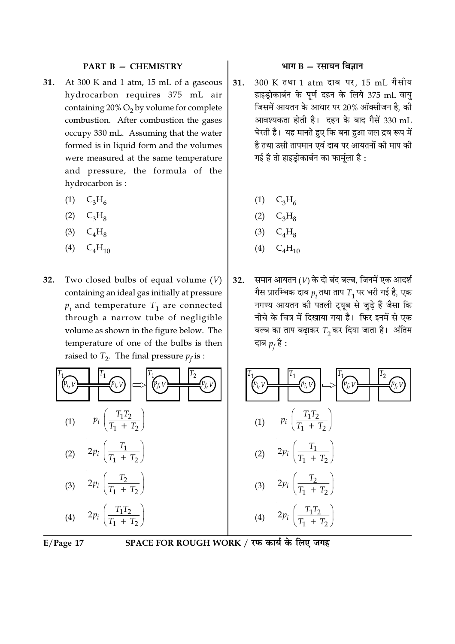#### **PART B - CHEMISTRY**

- At 300 K and 1 atm, 15 mL of a gaseous 31. hydrocarbon requires 375 mL air containing  $20\%$  O<sub>2</sub> by volume for complete combustion. After combustion the gases occupy 330 mL. Assuming that the water formed is in liquid form and the volumes were measured at the same temperature and pressure, the formula of the hydrocarbon is:
	- $(1)$  $C_3H_6$
	- (2)  $C_3H_8$
	- (3)  $C_4H_8$
	- (4)  $C_4H_{10}$
- $32.$ Two closed bulbs of equal volume  $(V)$ containing an ideal gas initially at pressure  $p_i$  and temperature  $T_1$  are connected through a narrow tube of negligible volume as shown in the figure below. The temperature of one of the bulbs is then raised to  $T_2$ . The final pressure  $p_f$  is :





### SPACE FOR ROUGH WORK / रफ कार्य के लिए जगह

### भाग  $B - \bar{x}$ सायन विज्ञान

- 300 K तथा 1 atm दाब पर, 15 mL गैसीय 31. हाइड्रोकार्बन के पूर्ण दहन के लिये 375 mL वायु जिसमें आयतन के आधार पर 20% ऑक्सीजन है, की आवश्यकता होती है। दहन के बाद गैसें 330 mL घेरती है। यह मानते हुए कि बना हुआ जल द्रव रूप में है तथा उसी तापमान एवं दाब पर आयतनों की माप की गई है तो हाइड़ोकार्बन का फार्मुला है :
	- $(1)$   $C_3H_6$
	- $(2)$  $C_3H_8$
	- $C_4H_8$  $(3)$
	- $C<sub>4</sub>H<sub>10</sub>$  $(4)$
- 32. समान आयतन (V) के दो बंद बल्ब, जिनमें एक आदर्श गैस प्रारम्भिक दाब  $p_i$ तथा ताप  $T_1$ पर भरी गई है, एक नगण्य आयतन की पतली ट्यूब से जुडे हैं जैसा कि नीचे के चित्र में दिखाया गया है। फिर इनमें से एक बल्ब का ताप बढ़ाकर  $T_2$ कर दिया जाता है। अंतिम दाब  $p_f$ है :

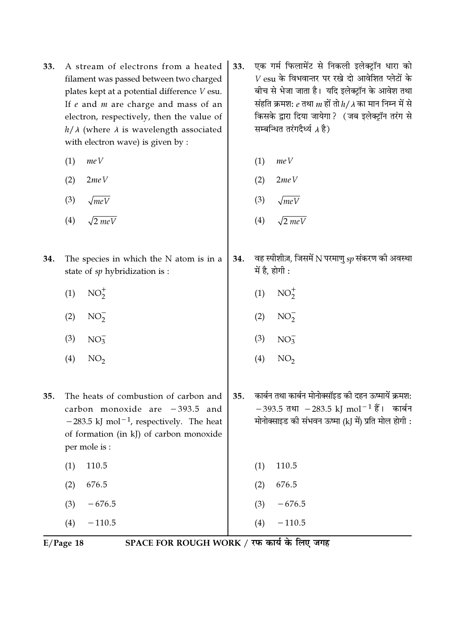- A stream of electrons from a heated 33. filament was passed between two charged plates kept at a potential difference V esu. If  $e$  and  $m$  are charge and mass of an electron, respectively, then the value of  $h/\lambda$  (where  $\lambda$  is wavelength associated with electron wave) is given by :
	- $meV$  $(1)$
	- $(2)$  $2meV$
	- $(3)$  $\sqrt{meV}$
	- $\sqrt{2 meV}$  $(4)$
- 34. The species in which the N atom is in a state of sp hybridization is :
	- $(1)$  $NO_2^+$
	- $NO_2^ (2)$
	- $(3)$  $NO_3^-$
	- $(4)$  $NO<sub>2</sub>$
- The heats of combustion of carbon and 35. carbon monoxide are  $-393.5$  and  $-283.5$  kJ mol<sup>-1</sup>, respectively. The heat of formation (in kJ) of carbon monoxide per mole is:
	- 110.5  $(1)$
	- $(2)$ 676.5
	- $-676.5$  $(3)$
	- $-110.5$  $(4)$
- एक गर्म फिलामेंट से निकली इलेक्ट्रॉन धारा को 33.  $V$  esu के विभवान्तर पर रखे दो आवेशित प्लेटों के बीच से भेजा जाता है। यदि इलेक्टॉन के आवेश तथा संहति क्रमश:  $e$  तथा  $m$  हों तो  $h/\lambda$  का मान निम्न में से किसके द्वारा दिया जायेगा? (जब इलेक्ट्रॉन तरंग से सम्बन्धित तरंगदैर्ध्य  $\lambda$  है)
	- $(1)$  $meV$
	- $(2)$  $2meV$
	- $\sqrt{meV}$  $(3)$
	- $\sqrt{2 meV}$  $(4)$
- वह स्पीशीज़, जिसमें N परमाण  $sp$  संकरण की अवस्था 34. में है, होगी :
	- $NO<sub>2</sub><sup>+</sup>$  $(1)$
	- $NO_2^ (2)$
	- $(3)$  $NO_3^-$
	- $(4)$  $NO<sub>2</sub>$
- कार्बन तथा कार्बन मोनोक्सॉइड की दहन ऊष्मायें क्रमश: 35.  $-393.5$  तथा  $-283.5$  kJ mol<sup>-1</sup> हैं। कार्बन मोनोक्साइड की संभवन ऊष्मा (kJ में) प्रति मोल होगी :
- 110.5  $(1)$  $(2)$ 676.5  $-676.5$  $(3)$  $-110.5$  $(4)$

 $E/Page$  18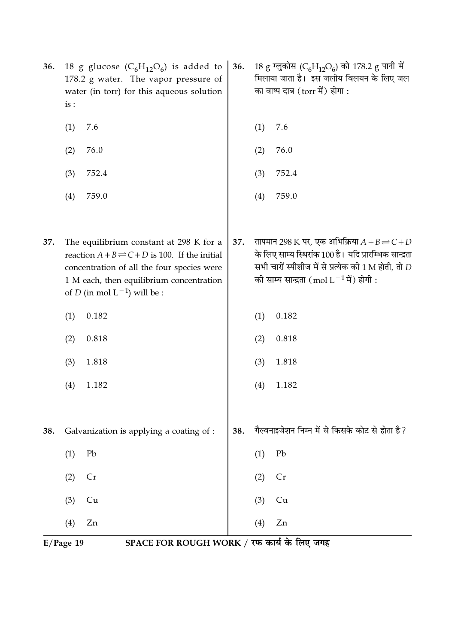| 36. | 18 g glucose $(C_6H_{12}O_6)$ is added to<br>178.2 g water. The vapor pressure of<br>water (in torr) for this aqueous solution<br>is:                                                                                                      | 36. | 18 g ग्लुकोस (C6H <sub>12</sub> O6) को 178.2 g पानी में<br>मिलाया जाता है। इस जलीय विलयन के लिए जल<br>का वाष्प दाब (torr में) होगा :                                                                         |  |
|-----|--------------------------------------------------------------------------------------------------------------------------------------------------------------------------------------------------------------------------------------------|-----|--------------------------------------------------------------------------------------------------------------------------------------------------------------------------------------------------------------|--|
|     | 7.6<br>(1)                                                                                                                                                                                                                                 |     | 7.6<br>(1)                                                                                                                                                                                                   |  |
|     | 76.0<br>(2)                                                                                                                                                                                                                                |     | 76.0<br>(2)                                                                                                                                                                                                  |  |
|     | (3)<br>752.4                                                                                                                                                                                                                               |     | (3)<br>752.4                                                                                                                                                                                                 |  |
|     | (4)<br>759.0                                                                                                                                                                                                                               |     | 759.0<br>(4)                                                                                                                                                                                                 |  |
| 37. | The equilibrium constant at 298 K for a<br>reaction $A + B \rightleftharpoons C + D$ is 100. If the initial<br>concentration of all the four species were<br>1 M each, then equilibrium concentration<br>of D (in mol $L^{-1}$ ) will be : | 37. | तापमान 298 K पर, एक अभिक्रिया $A+B = C+D$<br>के लिए साम्य स्थिरांक 100 है। यदि प्रारम्भिक सान्द्रता<br>सभी चारों स्पीशीज में से प्रत्येक की 1 M होती, तो $D$<br>की साम्य सान्द्रता (mol $L^{-1}$ में) होगी : |  |
|     | (1)<br>0.182                                                                                                                                                                                                                               |     | 0.182<br>(1)                                                                                                                                                                                                 |  |
|     | 0.818<br>(2)                                                                                                                                                                                                                               |     | 0.818<br>(2)                                                                                                                                                                                                 |  |
|     | (3)<br>1.818                                                                                                                                                                                                                               |     | (3)<br>1.818                                                                                                                                                                                                 |  |
|     | (4)<br>1.182                                                                                                                                                                                                                               |     | 1.182<br>(4)                                                                                                                                                                                                 |  |
| 38. | Galvanization is applying a coating of :                                                                                                                                                                                                   | 38. | गैल्वनाइजेशन निम्न में से किसके कोट से होता है ?                                                                                                                                                             |  |
|     | Pb<br>(1)                                                                                                                                                                                                                                  |     | Pb<br>(1)                                                                                                                                                                                                    |  |
|     | (2)<br>Cr                                                                                                                                                                                                                                  |     | (2)<br>Cr                                                                                                                                                                                                    |  |
|     | (3)<br>Cu                                                                                                                                                                                                                                  |     | (3)<br>Cu                                                                                                                                                                                                    |  |
|     | (4)<br>Zn                                                                                                                                                                                                                                  |     | (4)<br>Zn                                                                                                                                                                                                    |  |
|     | SPACE FOR ROUGH WORK / रफ कार्य के लिए जगह<br>$E/Page$ 19                                                                                                                                                                                  |     |                                                                                                                                                                                                              |  |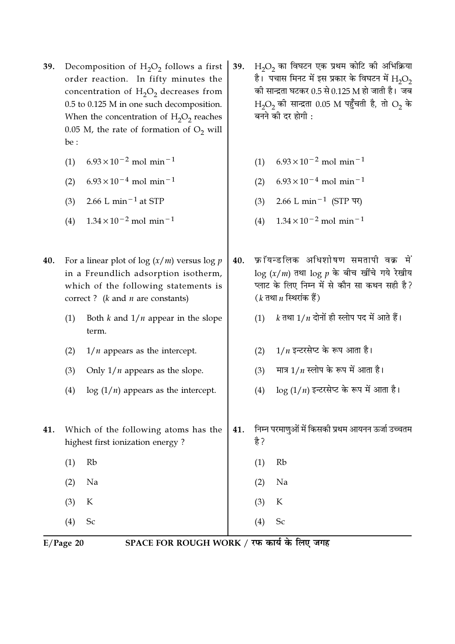| 39. |                                                           | Decomposition of $H_2O_2$ follows a first                                                 | 39. |      | $H_2O_2$ का विघटन एक प्रथम कोटि की अभिक्रिया                                                                          |
|-----|-----------------------------------------------------------|-------------------------------------------------------------------------------------------|-----|------|-----------------------------------------------------------------------------------------------------------------------|
|     |                                                           | order reaction. In fifty minutes the<br>concentration of $H_2O_2$ decreases from          |     |      | है। पचास मिनट में इस प्रकार के विघटन में ${\rm H}_{2}{\rm O}_{2}$<br>की सान्द्रता घटकर 0.5 से 0.125 M हो जाती है।  जब |
|     |                                                           | 0.5 to 0.125 M in one such decomposition.                                                 |     |      | $H_2O_2$ की सान्द्रता 0.05 M पहुँचती है, तो $O_2$ के                                                                  |
|     |                                                           | When the concentration of $H_2O_2$ reaches<br>0.05 M, the rate of formation of $O_2$ will |     |      | बनने की दर होगी :                                                                                                     |
|     | be:                                                       |                                                                                           |     |      |                                                                                                                       |
|     | (1)                                                       | $6.93 \times 10^{-2}$ mol min <sup>-1</sup>                                               |     | (1)  | $6.93 \times 10^{-2}$ mol min <sup>-1</sup>                                                                           |
|     | (2)                                                       | $6.93 \times 10^{-4}$ mol min <sup>-1</sup>                                               |     | (2)  | $6.93 \times 10^{-4}$ mol min <sup>-1</sup>                                                                           |
|     | (3)                                                       | 2.66 L min <sup><math>-1</math></sup> at STP                                              |     | (3)  | 2.66 L min <sup>-1</sup> (STP पर)                                                                                     |
|     | (4)                                                       | $1.34 \times 10^{-2}$ mol min <sup>-1</sup>                                               |     | (4)  | $1.34 \times 10^{-2}$ mol min <sup>-1</sup>                                                                           |
|     |                                                           |                                                                                           |     |      |                                                                                                                       |
| 40. |                                                           | For a linear plot of log $(x/m)$ versus log p                                             | 40. |      | फ्रॉयन्डलिक अधिशोषण समतापी वक्र में                                                                                   |
|     |                                                           | in a Freundlich adsorption isotherm,<br>which of the following statements is              |     |      | $\log(x/m)$ तथा $\log p$ के बीच खींचे गये रेखीय<br>प्लाट के लिए निम्न में से कौन सा कथन सही है?                       |
|     |                                                           | correct? $(k \text{ and } n \text{ are constants})$                                       |     |      | $(k \pi$ था $n$ स्थिरांक हैं)                                                                                         |
|     | (1)                                                       | Both $k$ and $1/n$ appear in the slope<br>term.                                           |     | (1)  | $k$ तथा $1/n$ दोनों ही स्लोप पद में आते हैं।                                                                          |
|     | (2)                                                       | $1/n$ appears as the intercept.                                                           |     | (2)  | $1/n$ इन्टरसेप्ट के रूप आता है।                                                                                       |
|     | (3)                                                       | Only $1/n$ appears as the slope.                                                          |     | (3)  | मात्र $1/n$ स्लोप के रूप में आता है।                                                                                  |
|     | (4)                                                       | $\log(1/n)$ appears as the intercept.                                                     |     | (4)  | $\log(1/n)$ इन्टरसेप्ट के रूप में आता है।                                                                             |
|     |                                                           |                                                                                           |     |      |                                                                                                                       |
| 41. |                                                           | Which of the following atoms has the<br>highest first ionization energy?                  | 41. | है ? | निम्न परमाणुओं में किसकी प्रथम आयनन ऊर्जा उच्चतम                                                                      |
|     | (1)                                                       | Rb                                                                                        |     | (1)  | Rb                                                                                                                    |
|     | (2)                                                       | Na                                                                                        |     | (2)  | Na                                                                                                                    |
|     | (3)                                                       | К                                                                                         |     | (3)  | K                                                                                                                     |
|     | (4)                                                       | Sc                                                                                        |     | (4)  | Sc                                                                                                                    |
|     | SPACE FOR ROUGH WORK / रफ कार्य के लिए जगह<br>$E/Page$ 20 |                                                                                           |     |      |                                                                                                                       |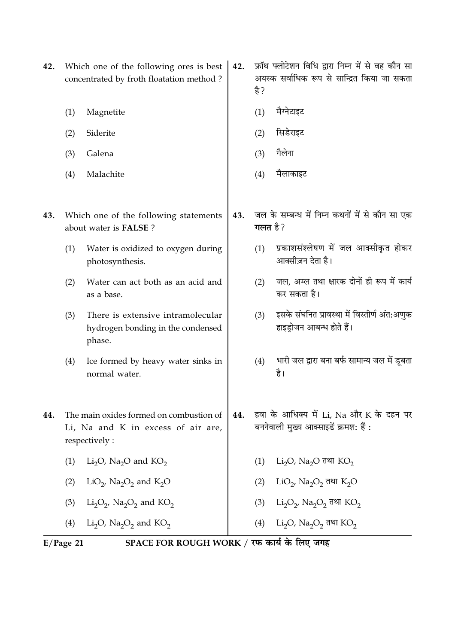- Which one of the following ores is best 42. concentrated by froth floatation method?
	- $(1)$ Magnetite
	- Siderite  $(2)$
	- Galena  $(3)$
	- $(4)$ Malachite
- 43. Which one of the following statements about water is FALSE?
	- Water is oxidized to oxygen during  $(1)$ photosynthesis.
	- Water can act both as an acid and  $(2)$ as a base.
	- $(3)$ There is extensive intramolecular hydrogen bonding in the condensed phase.
	- $(4)$ Ice formed by heavy water sinks in normal water.
- The main oxides formed on combustion of 44. Li, Na and K in excess of air are, respectively:
	- (1) Li<sub>2</sub>O, Na<sub>2</sub>O and KO<sub>2</sub> (2) LiO<sub>2</sub>, Na<sub>2</sub>O<sub>2</sub> and K<sub>2</sub>O
	- (3) Li<sub>2</sub>O<sub>2</sub>, Na<sub>2</sub>O<sub>2</sub> and KO<sub>2</sub>
	-
	- (4) Li<sub>2</sub>O, Na<sub>2</sub>O<sub>2</sub> and KO<sub>2</sub>
- फ्रॉथ फ्लोटेशन विधि द्वारा निम्न में से वह कौन सा 42. अयस्क सर्वाधिक रूप से सान्द्रित किया जा सकता है ?
	- $(1)$ मैग्नेटाइट
	- सिडेराइट  $(2)$
	- गैलेना  $(3)$
	- $(4)$ मैलाकाइट
- जल के सम्बन्ध में निम्न कथनों में से कौन सा एक 43. गलत है ?
	- प्रकाशसंश्लेषण में जल आक्सीकृत होकर  $(1)$ आक्सीज़न देता है।
	- जल, अम्ल तथा क्षारक दोनों ही रूप में कार्य  $(2)$ कर सकता है।
	- इसके संघनित प्रावस्था में विस्तीर्ण अंत:अणुक  $(3)$ हाइड्रोजन आबन्ध होते हैं।
	- भारी जल द्वारा बना बर्फ सामान्य जल में डूबता  $(4)$ है।
- हवा के आधिक्य में Li, Na और K के दहन पर 44. बननेवाली मुख्य आक्साइडें क्रमश: हैं :
	- (1) Li<sub>2</sub>O, Na<sub>2</sub>O तथा KO<sub>2</sub>
	- (2)  $LiO<sub>2</sub>$ , Na<sub>2</sub>O<sub>2</sub> तथा K<sub>2</sub>O
	- (3)  $Li_2O_2$ ,  $Na_2O_2$  तथा  $KO_2$
	- (4) Li<sub>2</sub>O, Na<sub>2</sub>O<sub>2</sub> तथा KO<sub>2</sub>

 $E/Page$  21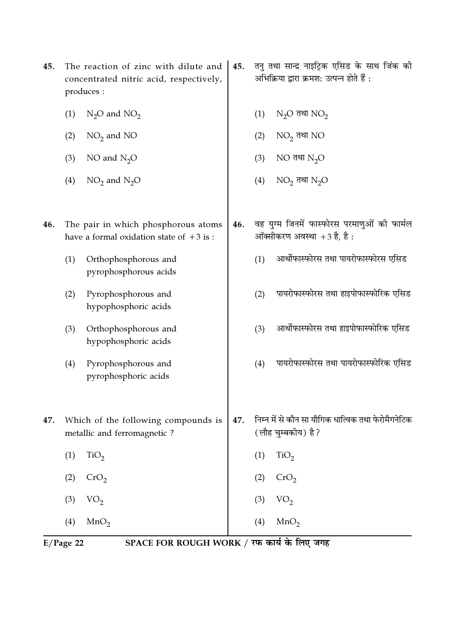| 45. |     | The reaction of zinc with dilute and<br>concentrated nitric acid, respectively,<br>produces : | 45. |     | तनु तथा सान्द्र नाइट्रिक एसिड के साथ जिंक को<br>अभिक्रिया द्वारा क्रमश: उत्पन्न होते हैं : |
|-----|-----|-----------------------------------------------------------------------------------------------|-----|-----|--------------------------------------------------------------------------------------------|
|     | (1) | $N_2O$ and $NO_2$                                                                             |     | (1) | $N2O$ तथा $NO2$                                                                            |
|     | (2) | $NO2$ and $NO$                                                                                |     | (2) | $NO2$ तथा $NO$                                                                             |
|     | (3) | NO and $N_2O$                                                                                 |     | (3) | NO तथा $N_2O$                                                                              |
|     | (4) | $NO2$ and $N2O$                                                                               |     | (4) | NO <sub>2</sub> तथा N <sub>2</sub> O                                                       |
| 46. |     | The pair in which phosphorous atoms<br>have a formal oxidation state of $+3$ is:              | 46. |     | वह युग्म जिनमें फास्फोरस परमाणुओं की फार्मल<br>ऑक्सीकरण अवस्था $+3$ है, है :               |
|     | (1) | Orthophosphorous and<br>pyrophosphorous acids                                                 |     | (1) | आर्थोफास्फोरस तथा पायरोफास्फोरस एसिड                                                       |
|     | (2) | Pyrophosphorous and<br>hypophosphoric acids                                                   |     | (2) | पायरोफास्फोरस तथा हाइपोफास्फोरिक एसिड                                                      |
|     | (3) | Orthophosphorous and<br>hypophosphoric acids                                                  |     | (3) | आर्थोफास्फोरस तथा हाइपोफास्फोरिक एसिड                                                      |
|     | (4) | Pyrophosphorous and<br>pyrophosphoric acids                                                   |     | (4) | पायरोफास्फोरस तथा पायरोफास्फोरिक एसिड                                                      |
| 47. |     | Which of the following compounds is<br>metallic and ferromagnetic?                            | 47. |     | निम्न में से कौन सा यौगिक धात्विक तथा फेरोमैगनेटिक<br>(लौह चुम्बकीय) है?                   |
|     | (1) | TiO <sub>2</sub>                                                                              |     | (1) | TiO <sub>2</sub>                                                                           |
|     | (2) | CrO <sub>2</sub>                                                                              |     | (2) | CrO <sub>2</sub>                                                                           |
|     | (3) | VO <sub>2</sub>                                                                               |     | (3) | VO <sub>2</sub>                                                                            |
|     | (4) | MnO <sub>2</sub>                                                                              |     | (4) | MnO <sub>2</sub>                                                                           |

E/Page 22 SPACE FOR ROUGH WORK / रफ कार्य के लिए जगह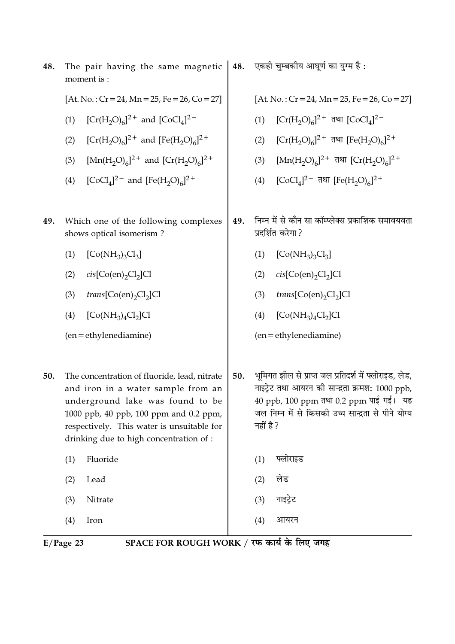The pair having the same magnetic 48. moment is:

 $[At. No.: Cr = 24, Mn = 25, Fe = 26, Co = 27]$ 

- (1)  $[Cr(H<sub>2</sub>O)<sub>6</sub>]^{2+}$  and  $[CoCl<sub>4</sub>]^{2-}$
- (2)  $[Cr(H<sub>2</sub>O)<sub>6</sub>]<sup>2+</sup>$  and  $[Fe(H<sub>2</sub>O)<sub>6</sub>]<sup>2+</sup>$
- (3)  $[Mn(H_2O)_6]^2$ <sup>+</sup> and  $[Cr(H_2O)_6]^2$ <sup>+</sup>
- (4)  $[CoCl<sub>4</sub>]^{2-}$  and  $[Fe(H<sub>2</sub>O)<sub>6</sub>]^{2+}$
- Which one of the following complexes 49. shows optical isomerism?
	- $(1)$   $[Co(NH_3)_3Cl_3]$
	- $(2)$   $cis[Co(en)<sub>2</sub>Cl<sub>2</sub>]Cl$
	- (3)  $trans[Co(en)_2Cl_2]Cl$
	- $[Co(NH<sub>3</sub>)<sub>4</sub>Cl<sub>2</sub>]Cl$  $(4)$

 $(en = ethylene diamine)$ 

- $50.$ The concentration of fluoride, lead, nitrate and iron in a water sample from an underground lake was found to be 1000 ppb, 40 ppb, 100 ppm and 0.2 ppm, respectively. This water is unsuitable for drinking due to high concentration of :
	- Fluoride  $(1)$
	- $(2)$ Lead
	- $(3)$ Nitrate
	- $(4)$ Iron

एकही चुम्बकीय आघूर्ण का युग्म है : 48.

 $[At. No.: Cr = 24, Mn = 25, Fe = 26, Co = 27]$ 

- (1)  $[Cr(H_2O)_6]^2$ <sup>+</sup> तथा  $[CoCl_4]^2$ <sup>-</sup>
- (2)  $[Cr(H<sub>2</sub>O)<sub>6</sub>]<sup>2+</sup>$  तथा  $[Fe(H<sub>2</sub>O)<sub>6</sub>]<sup>2+</sup>$
- (3)  $[Mn(H_2O)_6]^2$ <sup>+</sup>  $\overline{q}$ था  $[Cr(H_2O)_6]^2$ <sup>+</sup>
- (4)  $[CoCl<sub>4</sub>]^{2-}$  तथा  $[Fe(H<sub>2</sub>O)<sub>6</sub>]^{2+}$
- निम्न में से कौन सा कॉम्प्लेक्स प्रकाशिक समावयवता 49. प्रदर्शित करेगा?
	- $(1)$  $[Co(NH_3)_3Cl_3]$
	- $(i2)$   $cis[Co(en),Cl_2]Cl$
	- (3)  $trans[Co(en)_2Cl_2]Cl$
	- $[Co(NH<sub>3</sub>)<sub>4</sub>Cl<sub>2</sub>]Cl$  $(4)$

- भमिगत झील से प्राप्त जल प्रतिदर्श में फ्लोराइड. लेड.  $50.$ नाइटेट तथा आयरन की सान्द्रता क्रमश: 1000 ppb, 40 ppb, 100 ppm तथा 0.2 ppm पाई गई। यह जल निम्न में से किसकी उच्च सान्द्रता से पीने योग्य नहीं है ?
	- फ्लोराइड  $(1)$
	- $(2)$ लेड
	- नाइटेट  $(3)$
- आयरन  $(4)$

 $E/Page$  23

 $(en = ethylene diamine)$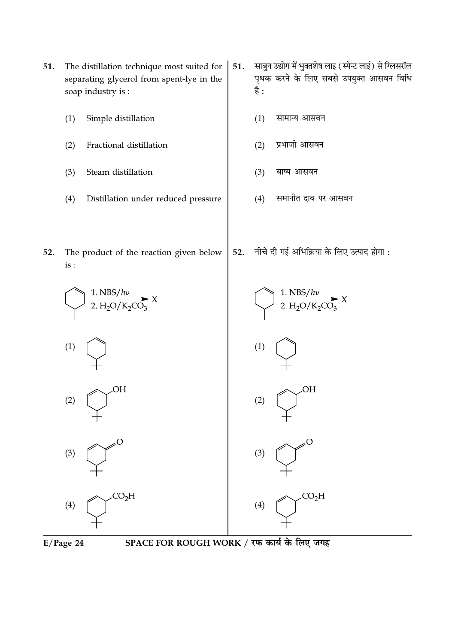

- $(1)$ Simple distillation
- Fractional distillation  $(2)$
- Steam distillation  $(3)$
- $(4)$ Distillation under reduced pressure

साबुन उद्योग में भुक्तशेष लाइ (स्पेन्ट लाई) से ग्लिसरॉल 51. पृथक करने के लिए सबसे उपयुक्त आसवन विधि है :

- सामान्य आसवन  $(1)$
- प्रभाजी आसवन  $(2)$
- $(3)$ बाष्प आसवन
- समानीत दाब पर आसवन  $(4)$
- नीचे दी गई अभिक्रिया के लिए उत्पाद होगा : The product of the reaction given below 52. 52.  $is:$





SPACE FOR ROUGH WORK / रफ कार्य के लिए जगह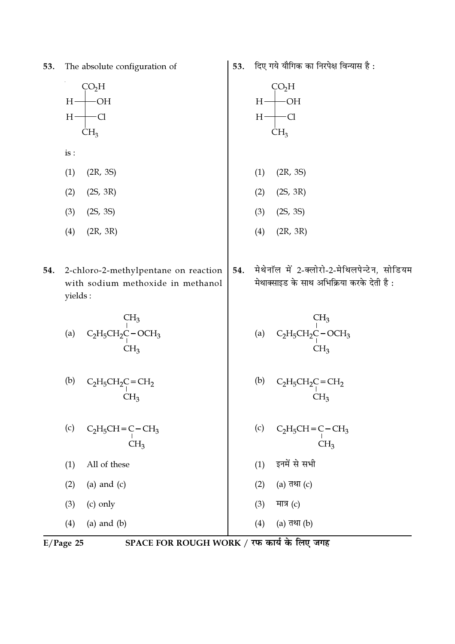| 53. | The absolute configuration of                             | 53. | दिए गये यौगिक का निरपेक्ष विन्यास है:       |  |
|-----|-----------------------------------------------------------|-----|---------------------------------------------|--|
|     | CO <sub>2</sub> H                                         |     | CO <sub>2</sub> H                           |  |
|     | -OH<br>$H-$                                               |     | -OH<br>$H -$                                |  |
|     | $H-$<br>-Cl                                               |     | $H-$<br>-CI                                 |  |
|     | CH <sub>3</sub>                                           |     | CH <sub>3</sub>                             |  |
|     | is :                                                      |     |                                             |  |
|     | (1)<br>(2R, 3S)                                           |     | (1)<br>(2R, 3S)                             |  |
|     | (2)<br>(2S, 3R)                                           |     | (2)<br>(2S, 3R)                             |  |
|     | (3)<br>(2S, 3S)                                           |     | (3)<br>(2S, 3S)                             |  |
|     | (2R, 3R)<br>(4)                                           |     | (4)<br>(2R, 3R)                             |  |
|     |                                                           |     |                                             |  |
| 54. | 2-chloro-2-methylpentane on reaction                      | 54. | मेथेनॉल में 2-क्लोरो-2-मेथिलपेन्टेन, सोडियम |  |
|     | with sodium methoxide in methanol                         |     | मेथाक्साइड के साथ अभिक्रिया करके देती है:   |  |
|     | yields:                                                   |     |                                             |  |
|     | CH <sub>3</sub>                                           |     | CH <sub>3</sub>                             |  |
|     | $C_2H_5CH_2C-OCH_3$<br>(a)                                |     | $C_2H_5CH_2C-OCH_3$<br>(a)                  |  |
|     | CH <sub>3</sub>                                           |     | CH <sub>3</sub>                             |  |
|     | (b)<br>$C_2H_5CH_2C = CH_2$                               |     | (b)<br>$C_2H_5CH_2C=CH_2$                   |  |
|     | $\mathrm{CH}_3$                                           |     | CH <sub>3</sub>                             |  |
|     |                                                           |     |                                             |  |
|     | (c)<br>$C_2H_5CH = C - CH_3$                              |     | (c)<br>$C_2H_5CH = C - CH_3$                |  |
|     | CH <sub>3</sub>                                           |     | CH <sub>3</sub>                             |  |
|     | All of these<br>(1)                                       |     | इनमें से सभी<br>(1)                         |  |
|     | $(a)$ and $(c)$<br>(2)                                    |     | (a) तथा (c)<br>(2)                          |  |
|     | (3)<br>(c) only                                           |     | (3)<br>मात्र $(c)$                          |  |
|     | (4)<br>$(a)$ and $(b)$                                    |     | (a) तथा (b)<br>(4)                          |  |
|     | SPACE FOR ROUGH WORK / रफ कार्य के लिए जगह<br>$E/Page$ 25 |     |                                             |  |
|     |                                                           |     |                                             |  |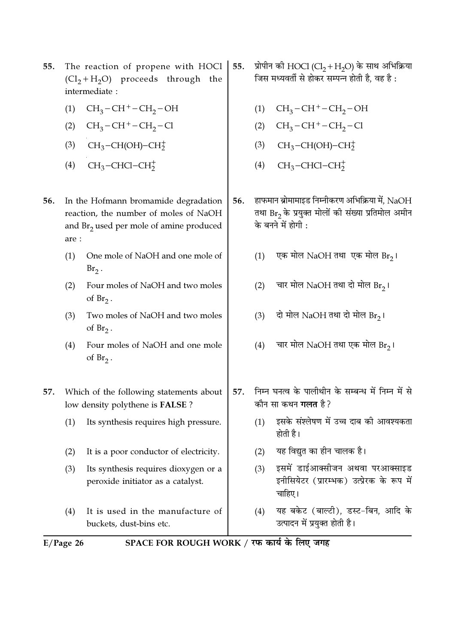- The reaction of propene with HOCl 55.  $(Cl_2 + H_2O)$  proceeds through the intermediate:
	- $CH<sub>3</sub>-CH<sup>+</sup>-CH<sub>2</sub>-OH$  $(1)$
	- $CH<sub>3</sub>-CH<sup>+</sup>-CH<sub>2</sub>-Cl$  $(2)$
	- $CH_3$ -CH(OH)-CH<sub>2</sub><sup>+</sup>  $(3)$
	- $CH<sub>3</sub>-CHCl-CH<sub>2</sub>$  $(4)$
- 56. In the Hofmann bromamide degradation reaction, the number of moles of NaOH and Br<sub>2</sub> used per mole of amine produced are:
	- $(1)$ One mole of NaOH and one mole of  $Br<sub>2</sub>$ .
	- Four moles of NaOH and two moles  $(2)$ of  $Br_2$ .
	- Two moles of NaOH and two moles  $(3)$ of  $Br<sub>2</sub>$ .
	- Four moles of NaOH and one mole  $(4)$ of  $Br_2$ .
- Which of the following statements about 57. low density polythene is FALSE?
	- Its synthesis requires high pressure.  $(1)$
	- $(2)$ It is a poor conductor of electricity.
	- $(3)$ Its synthesis requires dioxygen or a peroxide initiator as a catalyst.
	- $(4)$ It is used in the manufacture of buckets, dust-bins etc.
- प्रोपीन की HOCl (Cl<sub>2</sub> + H<sub>2</sub>O) के साथ अभिक्रिया 55. जिस मध्यवर्ती से होकर सम्पन्न होती है, वह है:
	- $CH<sub>3</sub>-CH<sup>+</sup>-CH<sub>2</sub>-OH$  $(1)$
	- (2)  $CH_3-CH^+ CH_2-Cl$
	- (3)  $CH_3-CH(OH)-CH_2^+$
	- $CH<sub>3</sub>-CHCl-CH<sub>2</sub>$  $(4)$
- हाफमान ब्रोमामाइड निम्नीकरण अभिक्रिया में, NaOH 56. तथा Br, के प्रयुक्त मोलों की संख्या प्रतिमोल अमीन के बनने में होगी :
	- एक मोल NaOH तथा एक मोल Br2।  $(1)$
	- चार मोल NaOH तथा दो मोल Br2।  $(2)$
	- $(3)$ दो मोल NaOH तथा दो मोल Br2।
	- (4) चार मोल NaOH तथा एक मोल Br<sub>2</sub>।
- निम्न घनत्व के पालीथीन के सम्बन्ध में निम्न में से 57. कौन सा कथन **गलत** है?
	- (1) इसके संश्लेषण में उच्च दाब की आवश्यकता होती है।
	- (2) यह विद्युत का हीन चालक है।
	- $(3)$ इसमें डाईआक्सीजन अथवा परआक्साइड इनीसियेटर (प्रारम्भक) उत्प्रेरक के रूप में चाहिए।
	- यह बकेट (बाल्टी), डस्ट-बिन, आदि के  $(4)$ उत्पादन में प्रयक्त होती है।

```
SPACE FOR ROUGH WORK / रफ कार्य के लिए जगह
E/Page 26
```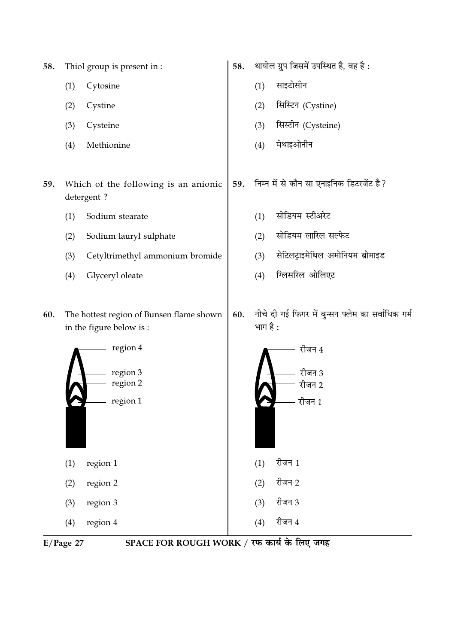58. Thiol group is present in :

- $(1)$ Cytosine
- $(2)$ Cystine
- $(3)$ Cysteine
- $(4)$ Methionine
- 59. Which of the following is an anionic detergent?
	- Sodium stearate  $(1)$
	- Sodium lauryl sulphate  $(2)$
	- $(3)$ Cetyltrimethyl ammonium bromide
	- Glyceryl oleate  $(4)$
- 60. The hottest region of Bunsen flame shown in the figure below is:





- थायोल ग्रुप जिसमें उपस्थित है, वह है: 58. साइटोसीन  $(1)$ सिस्टिन (Cystine)  $(2)$ सिस्टीन (Cysteine)  $(3)$ मेथाइओनीन  $(4)$ 
	- निम्न में से कौन सा एनाइनिक डिटरजेंट है? 59.
		- सोडियम स्टीअरेट  $(1)$
		- सोडियम लारिल सल्फेट  $(2)$
		- सेटिलटाइमेथिल अमोनियम ब्रोमाइड  $(3)$
		- ग्लिसरिल ओलिएट  $(4)$
		- नीचे दी गई फिगर में बुन्सन फ्लेम का सर्वाधिक गर्म 60. भाग है :

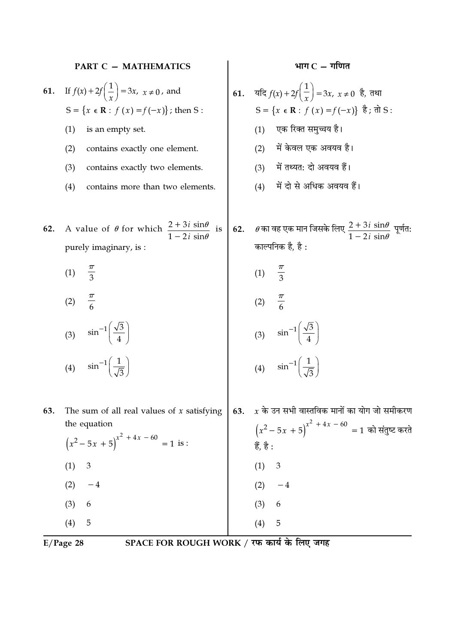**PART C** − **MATHEMATICS**  
\n**61.** If 
$$
f(x)+2f(\frac{1}{x})=3x
$$
,  $x \ne 0$ , and  
\n $S = \{x \in \mathbb{R} : f(x) = f(-x)\}$ ; then S:  
\n(1) is an empty set.  
\n(2) contains exactly one element.  
\n(3) contains exactly two elements.  
\n(4) contains more than two elements.  
\n(5)  $\frac{1}{x} \cdot \frac{1}{\sqrt{3}}$   
\n(62. A value of  $\theta$  for which  $\frac{2+3i \sin \theta}{1-2i \sin \theta}$  is  
\n $\frac{1}{1-2i \sin \theta}$   
\n(7)  $\frac{\pi}{3}$   
\n(8)  $\frac{\pi}{3}$   
\n(9)  $\frac{\pi}{6}$   
\n(1)  $\frac{\pi}{3}$   
\n(2)  $\frac{\pi}{6}$   
\n(3)  $\sin^{-1}(\frac{\sqrt{3}}{4})$   
\n(4)  $\sin^{-1}(\frac{\sqrt{3}}{\sqrt{3}})$   
\n(5)  $\sin^{-1}(\frac{\sqrt{3}}{4})$   
\n(6)  $\sin^{-1}(\frac{\sqrt{3}}{4})$   
\n(7)  $\frac{\pi}{3}$   
\n(8)  $\sin^{-1}(\frac{\sqrt{3}}{4})$   
\n(9)  $\sin^{-1}(\frac{\sqrt{3}}{4})$   
\n(1)  $\frac{\pi}{3}$   
\n(2)  $\frac{\pi}{6}$   
\n(3)  $\sin^{-1}(\frac{\sqrt{3}}{4})$   
\n(4)  $\sin^{-1}(\frac{1}{\sqrt{3}})$   
\n(5)  $\sin^{-1}(\frac{\sqrt{3}}{4})$   
\n(6)  $\sin^{-1}(\frac{\sqrt{3}}{4})$   
\n(7)  $\sin^{-1}(\frac{\sqrt{3}}{4})$   
\n(8)  $\sin^{-1}(\frac{\sqrt{3}}{4})$   
\n(9)  $\sin^{-1}(\frac{\sqrt{3}}{4})$   
\n(1)  $\sin^{-1}(\frac{\sqrt{3}}{4})$   
\n(2)  $-\frac{4}{4}$   
\n(3)  $$ 

 $\overline{E/Page~28}$ 

 $(4) 5$ 

SPACE FOR ROUGH WORK / रफ कार्य के लिए जगह

 $(4) 5$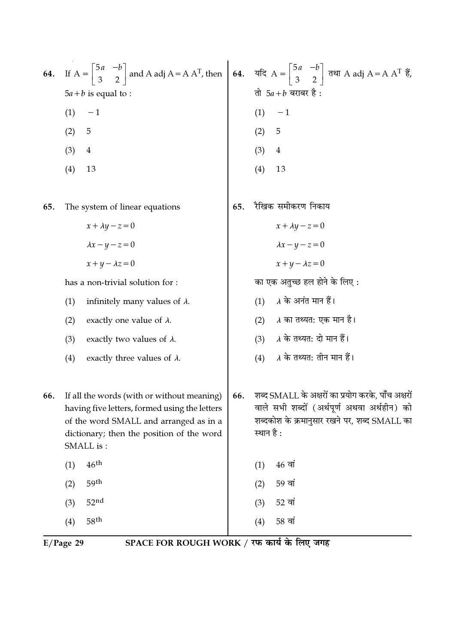| 64. | If $A = \begin{bmatrix} 5a & -b \\ 3 & 2 \end{bmatrix}$ and A adj $A = A A^{T}$ , then $\begin{bmatrix} 64. & \text{if } A = \begin{bmatrix} 5a & -b \\ 3 & 2 \end{bmatrix}$ $\pi$ and A adj $A = A A^{T} \xi$ , |     |                                                                                                                                                                 |
|-----|------------------------------------------------------------------------------------------------------------------------------------------------------------------------------------------------------------------|-----|-----------------------------------------------------------------------------------------------------------------------------------------------------------------|
|     | $5a + b$ is equal to :                                                                                                                                                                                           |     | तो $5a + b$ बराबर है :                                                                                                                                          |
|     | $-1$<br>(1)                                                                                                                                                                                                      |     | (1)<br>$-1$                                                                                                                                                     |
|     | 5<br>(2)                                                                                                                                                                                                         |     | (2)<br>5                                                                                                                                                        |
|     | (3)<br>$\overline{4}$                                                                                                                                                                                            |     | (3)<br>$\overline{4}$                                                                                                                                           |
|     | (4)<br>13                                                                                                                                                                                                        |     | 13<br>(4)                                                                                                                                                       |
| 65. | The system of linear equations                                                                                                                                                                                   | 65. | रैखिक समीकरण निकाय                                                                                                                                              |
|     | $x + \lambda y - z = 0$                                                                                                                                                                                          |     | $x + \lambda y - z = 0$                                                                                                                                         |
|     | $\lambda x - y - z = 0$                                                                                                                                                                                          |     | $\lambda x - y - z = 0$                                                                                                                                         |
|     | $x+y-\lambda z=0$                                                                                                                                                                                                |     | $x+y-\lambda z=0$                                                                                                                                               |
|     | has a non-trivial solution for :                                                                                                                                                                                 |     | का एक अतुच्छ हल होने के लिए :                                                                                                                                   |
|     | infinitely many values of $\lambda$ .<br>(1)                                                                                                                                                                     |     | $\lambda$ के अनंत मान हैं।<br>(1)                                                                                                                               |
|     | exactly one value of $\lambda$ .<br>(2)                                                                                                                                                                          |     | $\lambda$ का तथ्यत: एक मान है।<br>(2)                                                                                                                           |
|     | exactly two values of $\lambda$ .<br>(3)                                                                                                                                                                         |     | (3) $\lambda$ के तथ्यत: दो मान हैं।                                                                                                                             |
|     | exactly three values of $\lambda$ .<br>(4)                                                                                                                                                                       |     | $\lambda$ के तथ्यत: तीन मान हैं।<br>(4)                                                                                                                         |
| 66. | If all the words (with or without meaning)<br>having five letters, formed using the letters<br>of the word SMALL and arranged as in a<br>dictionary; then the position of the word<br>SMALL is:                  | 66. | शब्द SMALL के अक्षरों का प्रयोग करके, पाँच अक्षरों<br>वाले सभी शब्दों (अर्थपूर्ण अथवा अर्थहीन) को<br>शब्दकोश के क्रमानुसार रखने पर, शब्द SMALL का<br>स्थान है : |
|     | $46^{\mbox{th}}$<br>(1)                                                                                                                                                                                          |     | $46$ वां<br>(1)                                                                                                                                                 |
|     | 59th<br>(2)                                                                                                                                                                                                      |     | 59 वां<br>(2)                                                                                                                                                   |
|     | 52 <sup>nd</sup><br>(3)                                                                                                                                                                                          |     | 52 वां<br>(3)                                                                                                                                                   |
|     | 58 <sup>th</sup><br>(4)                                                                                                                                                                                          |     | 58 वां<br>(4)                                                                                                                                                   |
|     | SPACE FOR ROUGH WORK / रफ कार्य के लिए जगह<br>$E/Page$ 29                                                                                                                                                        |     |                                                                                                                                                                 |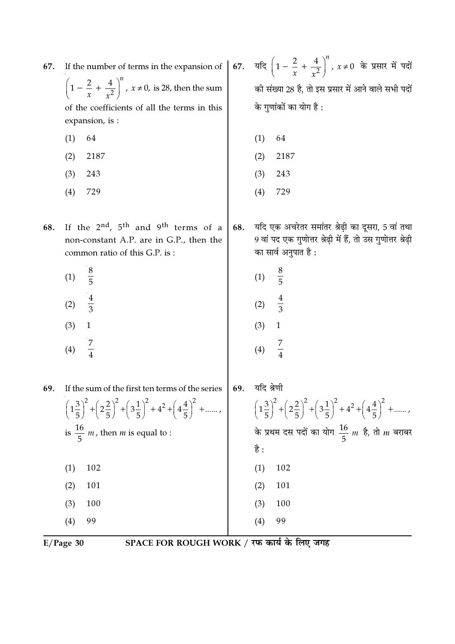| 67. | If the number of terms in the expansion of                                                                                            | 67. | यदि $\left(1-\frac{2}{x}+\frac{4}{x^2}\right)^n$ , $x\neq 0$ के प्रसार में पदों                                                          |
|-----|---------------------------------------------------------------------------------------------------------------------------------------|-----|------------------------------------------------------------------------------------------------------------------------------------------|
|     | $\left(1-\frac{2}{x}+\frac{4}{x^2}\right)^n$ , $x\neq 0$ , is 28, then the sum                                                        |     | की संख्या 28 है, तो इस प्रसार में आने वाले सभी पदों                                                                                      |
|     | of the coefficients of all the terms in this                                                                                          |     | के गुणांकों का योग है :                                                                                                                  |
|     | expansion, is :                                                                                                                       |     |                                                                                                                                          |
|     | (1)<br>64                                                                                                                             |     | 64<br>(1)                                                                                                                                |
|     | 2187<br>(2)                                                                                                                           |     | (2)<br>2187                                                                                                                              |
|     | (3)<br>243                                                                                                                            |     | (3)<br>243                                                                                                                               |
|     | (4)<br>729                                                                                                                            |     | (4)<br>729                                                                                                                               |
| 68. | If the $2^{nd}$ , $5^{th}$ and $9^{th}$ terms of a<br>non-constant A.P. are in G.P., then the<br>common ratio of this G.P. is:        | 68. | यदि एक अचरेतर समांतर श्रेढ़ी का दूसरा, 5 वां तथा<br>9 वां पद एक गुणोत्तर श्रेढ़ी में हैं, तो उस गुणोत्तर श्रेढ़ी<br>का सार्व अनुपात है : |
|     | $\frac{8}{5}$<br>(1)                                                                                                                  |     | (1)                                                                                                                                      |
|     | $\frac{4}{3}$<br>(2)                                                                                                                  |     | $\frac{4}{3}$<br>(2)                                                                                                                     |
|     | $\mathbf{1}$<br>(3)                                                                                                                   |     | $\mathbf{1}$<br>(3)                                                                                                                      |
|     | $\frac{7}{4}$<br>(4)                                                                                                                  |     | $\frac{7}{4}$<br>(4)                                                                                                                     |
| 69. | If the sum of the first ten terms of the series                                                                                       | 69. | यदि श्रेणी                                                                                                                               |
|     |                                                                                                                                       |     |                                                                                                                                          |
|     | $\left(1\frac{3}{5}\right)^2 + \left(2\frac{2}{5}\right)^2 + \left(3\frac{1}{5}\right)^2 + 4^2 + \left(4\frac{4}{5}\right)^2 + \dots$ |     | $\left(1\frac{3}{5}\right)^2 + \left(2\frac{2}{5}\right)^2 + \left(3\frac{1}{5}\right)^2 + 4^2 + \left(4\frac{4}{5}\right)^2 + \dots$    |
|     | is $\frac{16}{5}$ <i>m</i> , then <i>m</i> is equal to :                                                                              |     | के प्रथम दस पदों का योग $\frac{16}{5}$ m है, तो m बराबर                                                                                  |
|     |                                                                                                                                       |     | है :                                                                                                                                     |
|     | 102<br>(1)                                                                                                                            |     | (1)<br>102                                                                                                                               |
|     | 101<br>(2)                                                                                                                            |     | 101<br>(2)                                                                                                                               |
|     | 100<br>(3)                                                                                                                            |     | 100<br>(3)                                                                                                                               |
|     | 99<br>(4)                                                                                                                             |     | 99<br>(4)                                                                                                                                |
|     |                                                                                                                                       |     |                                                                                                                                          |

E/Page 30 SPACE FOR ROUGH WORK / **⁄U»§ ∑§Êÿ¸ ∑§ Á‹∞ ¡ª"**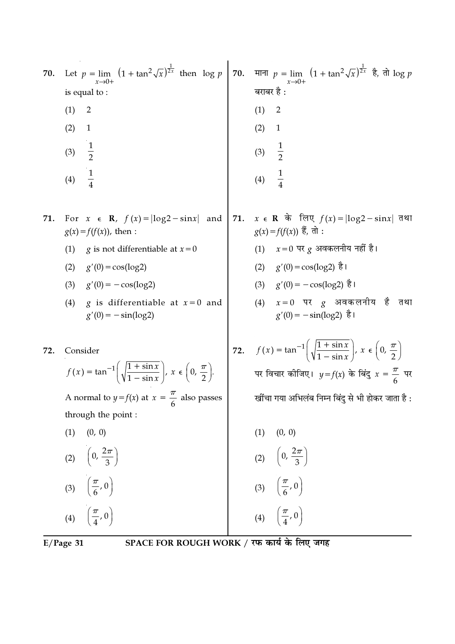| 70. | Let $p = \lim_{x \to 0+} (1 + \tan^2 \sqrt{x})^{\frac{1}{2x}}$ then $\log p$                          | 70. | माना $p = \lim_{x \to 0+} (1 + \tan^2 \sqrt{x})^{\frac{1}{2x}}$ है, तो log p                             |
|-----|-------------------------------------------------------------------------------------------------------|-----|----------------------------------------------------------------------------------------------------------|
|     | is equal to :                                                                                         |     | बराबर है :                                                                                               |
|     | (1)<br>$\overline{2}$                                                                                 |     | (1)<br>$\overline{2}$                                                                                    |
|     | (2)<br>$\mathbf{1}$                                                                                   |     | (2)<br>$\mathbf{1}$                                                                                      |
|     | $\frac{1}{2}$<br>(3)                                                                                  |     | $\frac{1}{2}$<br>(3)                                                                                     |
|     | $\frac{1}{4}$<br>(4)                                                                                  |     | $\frac{1}{4}$<br>(4)                                                                                     |
| 71. | For $x \in \mathbb{R}$ , $f(x) =  \log 2 - \sin x $ and<br>$g(x) = f(f(x))$ , then :                  | 71. | $x \in \mathbf{R}$ के लिए $f(x) =  \log 2 - \sin x $ तथा<br>$g(x) = f(f(x))$ हैं, तो :                   |
|     | (1)<br><i>g</i> is not differentiable at $x=0$                                                        |     | $x=0$ पर $g$ अवकलनीय नहीं है।<br>(1)                                                                     |
|     | (2)<br>$g'(0) = \cos(\log 2)$                                                                         |     | $(2)$ $g'(0) = cos(log2)$ है।                                                                            |
|     | (3)<br>$g'(0) = -\cos(\log 2)$                                                                        |     | (3) $g'(0) = -\cos(\log 2)$ है।                                                                          |
|     | (4)<br>g is differentiable at $x=0$ and<br>$g'(0) = -\sin(\log 2)$                                    |     | $x=0$ पर $g$ अवकलनीय है तथा<br>(4)<br>$g'(0) = -\sin(\log 2)$ है।                                        |
| 72. | Consider                                                                                              | 72. | $f(x) = \tan^{-1}\left(\sqrt{\frac{1 + \sin x}{1 - \sin x}}\right), x \in \left(0, \frac{\pi}{2}\right)$ |
|     | $f(x) = \tan^{-1}\left(\sqrt{\frac{1+\sin x}{1-\sin x}}\right), x \in \left(0, \frac{\pi}{2}\right).$ |     | पर विचार कीजिए। $y = f(x)$ के बिंदु $x = \frac{\pi}{6}$ पर                                               |
|     | A normal to $y=f(x)$ at $x = \frac{\pi}{6}$ also passes                                               |     | खींचा गया अभिलंब निम्न बिंदु से भी होकर जाता है :                                                        |
|     | through the point :                                                                                   |     |                                                                                                          |
|     | (0, 0)<br>(1)                                                                                         |     | (0, 0)<br>(1)                                                                                            |
|     | $\left(0, \frac{2\pi}{3}\right)$<br>(2)                                                               |     | $\left(0, \frac{2\pi}{3}\right)$<br>(2)                                                                  |
|     | $\left(\frac{\pi}{6},0\right)$<br>(3)                                                                 |     | (3) $\left(\frac{\pi}{6}, 0\right)$                                                                      |
|     | $\left(\frac{\pi}{4},0\right)$<br>(4)                                                                 |     | $\left(\frac{\pi}{4},0\right)$<br>(4)                                                                    |
|     |                                                                                                       |     |                                                                                                          |

E/Page 31 SPACE FOR ROUGH WORK / रफ कार्य के लिए जगह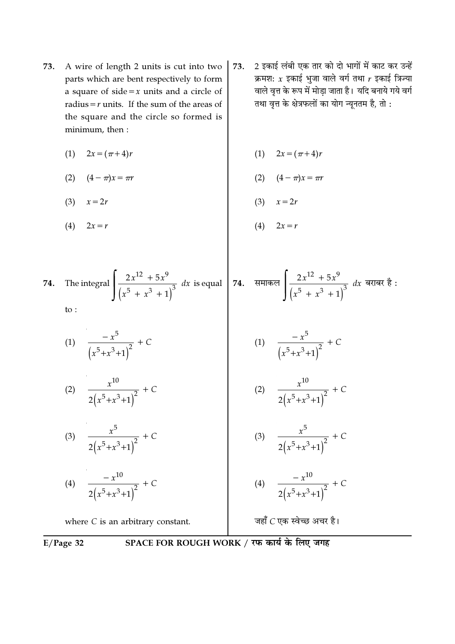- 73. A wire of length 2 units is cut into two parts which are bent respectively to form a square of side =  $x$  units and a circle of radius =  $r$  units. If the sum of the areas of the square and the circle so formed is minimum, then :
	- $(1)$  $2x = (\pi + 4)r$
	- $(2)$  $(4 - \pi)x = \pi r$
	- $(3)$  $x=2r$
	- $(4)$  $2x = r$

2 इकाई लंबी एक तार को दो भागों में काट कर उन्हें 73. क्रमश:  $x$  इकाई भुजा वाले वर्ग तथा  $r$  इकाई त्रिज्या वाले वृत्त के रूप में मोड़ा जाता है। यदि बनाये गये वर्ग तथा वृत्त के क्षेत्रफलों का योग न्यूनतम है, तो :

$$
(1) \quad 2x = (\pi + 4)r
$$

$$
(2) \quad (4 - \pi)x = \pi r
$$

$$
(3) \qquad x = 2r
$$

$$
(4) \quad 2x = r
$$

74. The integral 
$$
\int \frac{2x^{12} + 5x^9}{(x^5 + x^3 + 1)^3} dx
$$
 is equal to:  
\n10  $\frac{-x^5}{(x^5 + x^3 + 1)^2} + C$   
\n22  $\frac{x^{10}}{2(x^5 + x^3 + 1)^2} + C$   
\n33  $\frac{x^5}{2(x^5 + x^3 + 1)^2} + C$   
\n44  $\frac{-x^{10}}{2(x^5 + x^3 + 1)^2} + C$   
\n55  $\frac{1}{2(x^5 + x^3 + 1)^2} + C$   
\n66  $\frac{x^{10}}{2(x^5 + x^3 + 1)^2} + C$   
\n74.  $\frac{\pi}{100} \pi \text{ or } \frac{1}{20} \left( \frac{2x^{12} + 5x^9}{(x^5 + x^3 + 1)^2} + C \right)$   
\n75  $\frac{10}{2(x^5 + x^3 + 1)^2} + C$   
\n86  $\frac{x^{10}}{2(x^5 + x^3 + 1)^2} + C$   
\n97  $\frac{x^{10}}{2(x^5 + x^3 + 1)^2} + C$   
\n10  $\frac{x^{10}}{2(x^5 + x^3 + 1)^2} + C$   
\n11  $\frac{-x^{10}}{2(x^5 + x^3 + 1)^2} + C$   
\n12  $\frac{x^{10}}{2(x^5 + x^3 + 1)^2} + C$   
\n13  $\frac{x^5}{2(x^5 + x^3 + 1)^2} + C$   
\n14  $\frac{-x^{10}}{2(x^5 + x^3 + 1)^2} + C$ 

where  $C$  is an arbitrary constant.

जहाँ C एक स्वेच्छ अचर है।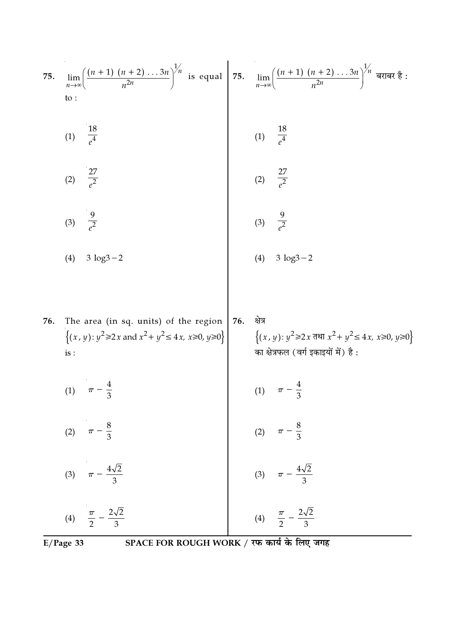75. 
$$
\lim_{n \to \infty} \left( \frac{(n+1)(n+2) \dots 3n}{n^{2n}} \right)^{1/n}
$$
 is equal to:  
\n10. 
$$
\frac{18}{e^4}
$$
  
\n21. 
$$
\frac{9}{e^2}
$$
  
\n33. 
$$
\frac{9}{e^2}
$$
  
\n44. 
$$
3 \log 3 - 2
$$
  
\n5. 
$$
\lim_{n \to \infty} \left( \frac{(n+1)(n+2) \dots 3n}{n^{2n}} \right)^{1/n}
$$
 at  $n \neq 2$   
\n5. 
$$
\lim_{n \to \infty} \left( \frac{(n+1)(n+2) \dots 3n}{n^{2n}} \right)^{1/n}
$$
 at  $n \neq 3$   
\n11. 
$$
\frac{18}{e^4}
$$
  
\n12. 
$$
\frac{9}{e^2}
$$
  
\n13. 
$$
\log 3 - 2
$$
  
\n14. 
$$
3 \log 3 - 2
$$
  
\n15. 
$$
\lim_{n \to \infty} \left( \frac{(n+1)(n+2) \dots 3n}{n^{2n}} \right)^{1/n}
$$
 at  $n \neq 3$   
\n16. 
$$
\frac{9}{e^2}
$$
  
\n17. 
$$
\lim_{n \to \infty} \left( \frac{(n+1)(n+2) \dots 3n}{n^{2n}} \right)^{1/n}
$$
 at  $n \neq 3$   
\n18. 
$$
\lim_{n \to \infty} \left( \frac{(2)}{e^2} \right)^{1/2}
$$
  
\n19. 
$$
\lim_{n \to \infty} \left( \frac{9}{2} \right)^{1/2} = 2 \times \pi
$$
 at  $x^2 + y^2 \le 4x$ ,  $x \ge 0, y \ge 0$   
\n10. 
$$
\lim_{n \to \infty} \left( \frac{9}{4} \right)^{1/2} = 2 \times \pi
$$
 at  $x^2 + y^2 \le 4x$ ,  $x \ge 0, y \ge 0$   
\n11. 
$$
\pi - \frac{4}{3}
$$
  
\n12.  $$ 

 $\overline{E/Page 33}$ 

SPACE FOR ROUGH WORK / रफ कार्य के लिए जगह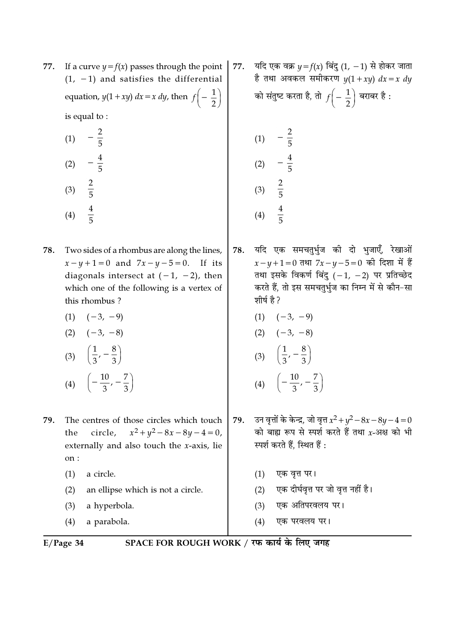- If a curve  $y = f(x)$  passes through the point 77.  $(1, -1)$  and satisfies the differential equation,  $y(1+xy) dx = x dy$ , then  $f\left(-\frac{1}{2}\right)$ is equal to:
	- (1)  $-\frac{2}{5}$ (2)  $-\frac{4}{5}$  $\frac{2}{5}$  $(3)$
	- $rac{4}{5}$  $(4)$
- 78. Two sides of a rhombus are along the lines,  $x - y + 1 = 0$  and  $7x - y - 5 = 0$ . If its diagonals intersect at  $(-1, -2)$ , then which one of the following is a vertex of this rhombus?
	- $(1) \quad (-3, -9)$
	- $(2) \quad (-3, -8)$
	- (3)  $\left(\frac{1}{3}, -\frac{8}{3}\right)$ (4)  $\left(-\frac{10}{3}, -\frac{7}{3}\right)$

79. The centres of those circles which touch  $x^2 + y^2 - 8x - 8y - 4 = 0$ , the circle, externally and also touch the  $x$ -axis, lie on:

- $(1)$ a circle.
- an ellipse which is not a circle.  $(2)$
- $(3)$ a hyperbola.
- $(4)$ a parabola.

यदि एक वक्र  $y = f(x)$  बिंदु (1,  $-1$ ) से होकर जाता 77. है तथा अवकल समीकरण  $y(1+xy) dx = x dy$ को संतुष्ट करता है, तो  $f\left(-\frac{1}{2}\right)$  बराबर है :

(1) 
$$
-\frac{2}{5}
$$
  
\n(2)  $-\frac{4}{5}$   
\n(3)  $\frac{2}{5}$   
\n(4)  $\frac{4}{5}$ 

यदि एक समचतुर्भुज की दो भुजाएँ, रेखाओं 78.  $x-y+1=0$  तथा  $7x-y-5=0$  की दिशा में हैं तथा इसके विकर्ण बिंदु  $(-1, -2)$  पर प्रतिच्छेद करते हैं, तो इस समचतुर्भुज का निम्न में से कौन-सा शीर्ष है ?

$$
(1) \quad (-3, -9)
$$

(2) 
$$
(-3, -8)
$$
  
\n(3)  $\left(\frac{1}{3}, -\frac{8}{3}\right)$   
\n(4)  $\left(-\frac{10}{3}, -\frac{7}{3}\right)$ 

- उन वृत्तों के केन्द्र, जो वृत्त  $x^2 + y^2 8x 8y 4 = 0$ 79. को बाह्य रूप से स्पर्श करते हैं तथा  $x$ -अक्ष को भी स्पर्श करते हैं, स्थित हैं:
	- $(1)$  एक वत्त पर।
	- एक दीर्घवृत्त पर जो वृत्त नहीं है।  $(2)$
	- एक अतिपरवलय पर।  $(3)$
	- $(4)$ एक परवलय पर।

$$
E/Page\ 34
$$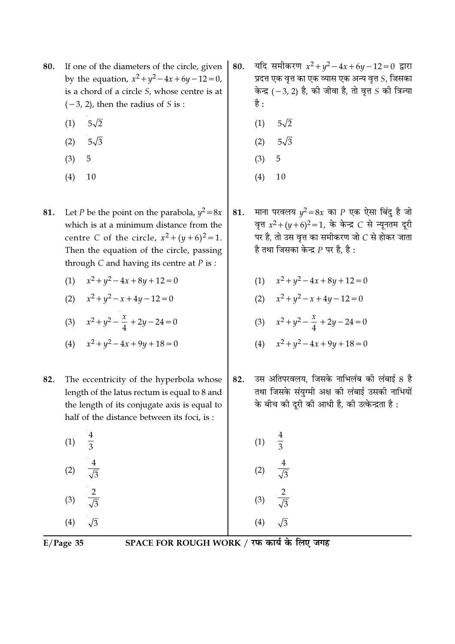- If one of the diameters of the circle, given 80. by the equation,  $x^2 + y^2 - 4x + 6y - 12 = 0$ , is a chord of a circle S, whose centre is at  $(-3, 2)$ , then the radius of S is :
	- $5\sqrt{2}$  $(1)$
	- $5\sqrt{3}$  $(2)$
	- $(3)$ 5
	- $(4)$ 10
- 81. Let *P* be the point on the parabola,  $y^2 = 8x$ which is at a minimum distance from the centre C of the circle,  $x^2 + (y+6)^2 = 1$ . Then the equation of the circle, passing through  $C$  and having its centre at  $P$  is :
	- (1)  $x^2 + y^2 4x + 8y + 12 = 0$
	- (2)  $x^2 + y^2 x + 4y 12 = 0$
	- (3)  $x^2 + y^2 \frac{x}{4} + 2y 24 = 0$
	- (4)  $x^2 + y^2 4x + 9y + 18 = 0$
- 82. The eccentricity of the hyperbola whose length of the latus rectum is equal to 8 and the length of its conjugate axis is equal to half of the distance between its foci, is:
	- $(1)$  $(2)$  $(3)$

 $\sqrt{3}$ 

- यदि समीकरण  $x^2 + y^2 4x + 6y 12 = 0$  द्वारा 80. प्रदत्त एक वृत्त का एक व्यास एक अन्य वृत्त  $S$ , जिसका केन्द्र (-3, 2) है, की जीवा है, तो वृत्त  $S$  की त्रिज्या है :
	- $5\sqrt{2}$  $(1)$
	- $5\sqrt{3}$  $(2)$
	- 5  $(3)$
	- 10  $(4)$
- माना परवलय  $y^2 = 8x$  का P एक ऐसा बिंदु है जो 81. वत्त  $x^2 + (y+6)^2 = 1$ , के केन्द्र C से न्यनतम दरी पर है, तो उस वृत्त का समीकरण जो  $C$  से होकर जाता है तथा जिसका केन्द्र  $P$  पर है. है:
	- (1)  $x^2 + y^2 4x + 8y + 12 = 0$
	- (2)  $x^2 + y^2 x + 4y 12 = 0$
	- (3)  $x^2 + y^2 \frac{x}{4} + 2y 24 = 0$
	- (4)  $x^2 + y^2 4x + 9y + 18 = 0$
- उस अतिपरवलय, जिसके नाभिलंब की लंबाई 8 है 82. तथा जिसके संयुग्मी अक्ष की लंबाई उसकी नाभियों के बीच की दूरी की आधी है, की उत्केन्द्रता है:

| (1) | $\frac{4}{3}$                |
|-----|------------------------------|
| (2) | 4<br>$\sqrt{3}$              |
| (3) | $\overline{2}$<br>$\sqrt{3}$ |
| (4) | $\sqrt{3}$                   |

 $E/Page$  35

 $(4)$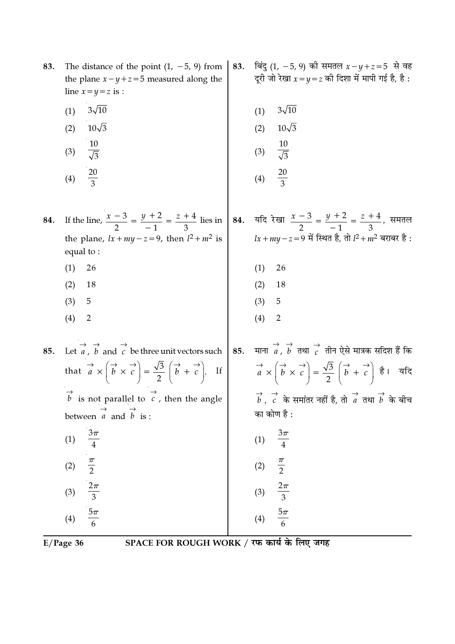| 83. | The distance of the point $(1, -5, 9)$ from<br>the plane $x - y + z = 5$ measured along the<br>line $x=y=z$ is :                                                                                                                                          | 83. | बिंदु (1, -5, 9) की समतल $x-y+z=5$ से वह<br>दूरी जो रेखा $x = y = z$ की दिशा में मापी गई है, है :                                                                                                  |
|-----|-----------------------------------------------------------------------------------------------------------------------------------------------------------------------------------------------------------------------------------------------------------|-----|----------------------------------------------------------------------------------------------------------------------------------------------------------------------------------------------------|
|     | $3\sqrt{10}$<br>(1)                                                                                                                                                                                                                                       |     | $3\sqrt{10}$<br>(1)                                                                                                                                                                                |
|     | $10\sqrt{3}$<br>(2)                                                                                                                                                                                                                                       |     | $10\sqrt{3}$<br>(2)                                                                                                                                                                                |
|     | $\frac{10}{\sqrt{3}}$<br>(3)                                                                                                                                                                                                                              |     | $\frac{10}{\sqrt{3}}$<br>(3)                                                                                                                                                                       |
|     | $\frac{20}{3}$<br>(4)                                                                                                                                                                                                                                     |     | $\frac{20}{3}$<br>(4)                                                                                                                                                                              |
| 84. | If the line, $\frac{x-3}{2} = \frac{y+2}{-1} = \frac{z+4}{3}$ lies in<br>the plane, $lx + my - z = 9$ , then $l^2 + m^2$ is                                                                                                                               |     | 84. यदि रेखा $\frac{x-3}{2} = \frac{y+2}{-1} = \frac{z+4}{3}$ , समतल<br>$lx + my - z = 9$ में स्थित है, तो $l^2 + m^2$ बराबर है:                                                                   |
|     | equal to:                                                                                                                                                                                                                                                 |     |                                                                                                                                                                                                    |
|     | (1)<br>26                                                                                                                                                                                                                                                 |     | (1)<br>26                                                                                                                                                                                          |
|     | (2)<br>18                                                                                                                                                                                                                                                 |     | (2)<br>18                                                                                                                                                                                          |
|     | (3)<br>5                                                                                                                                                                                                                                                  |     | (3)<br>5                                                                                                                                                                                           |
|     | (4)<br>$\overline{2}$                                                                                                                                                                                                                                     |     | (4)<br>$\overline{2}$                                                                                                                                                                              |
| 85. | Let $\overrightarrow{a}$ , $\overrightarrow{b}$ and $\overrightarrow{c}$ be three unit vectors such<br>that $\overrightarrow{a} \times (\overrightarrow{b} \times \overrightarrow{c}) = \frac{\sqrt{3}}{2} (\overrightarrow{b} + \overrightarrow{c}).$ If | 85. | माना $\overrightarrow{a}$ , $\overrightarrow{b}$ तथा $\overrightarrow{c}$ तीन ऐसे मात्रक सदिश हैं कि<br>$\vec{a} \times (\vec{b} \times \vec{c}) = \frac{\sqrt{3}}{2} (\vec{b} + \vec{c})$ है। यदि |
|     | $\overrightarrow{b}$ is not parallel to $\overrightarrow{c}$ , then the angle                                                                                                                                                                             |     | $\overrightarrow{b}$ , $\overrightarrow{c}$ के समांतर नहीं है, तो $\overrightarrow{a}$ तथा $\overrightarrow{b}$ के बीच                                                                             |
|     | between $\overrightarrow{a}$ and $\overrightarrow{b}$ is :                                                                                                                                                                                                |     | का कोण है :                                                                                                                                                                                        |
|     | $\frac{3\pi}{4}$<br>(1)<br>$\overline{4}$                                                                                                                                                                                                                 |     | $\frac{3\pi}{4}$<br>(1)                                                                                                                                                                            |
|     | $\frac{\pi}{2}$<br>(2)                                                                                                                                                                                                                                    |     | $\frac{\pi}{2}$<br>(2)                                                                                                                                                                             |
|     | $\frac{2\pi}{3}$<br>(3)                                                                                                                                                                                                                                   |     | $\frac{2\pi}{3}$<br>(3)                                                                                                                                                                            |
|     | $\frac{5\pi}{6}$<br>(4)                                                                                                                                                                                                                                   |     | $\frac{5\pi}{6}$<br>(4)                                                                                                                                                                            |

E/Page 36 SPACE FOR ROUGH WORK / रफ कार्य के लिए जगह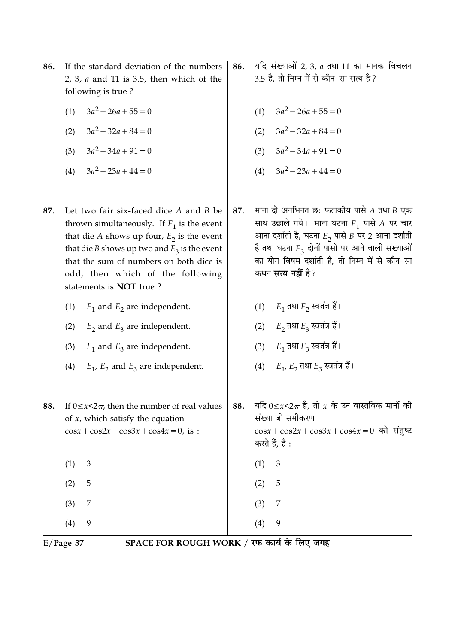- 86. If the standard deviation of the numbers 2, 3,  $a$  and 11 is 3.5, then which of the following is true?
	- (1)  $3a^2 26a + 55 = 0$
	- (2)  $3a^2 32a + 84 = 0$
	- (3)  $3a^2 34a + 91 = 0$
	- (4)  $3a^2 23a + 44 = 0$
- Let two fair six-faced dice A and B be 87. thrown simultaneously. If  $E_1$  is the event that die A shows up four,  $E_2$  is the event that die *B* shows up two and  $E_3$  is the event that the sum of numbers on both dice is odd, then which of the following statements is NOT true?
	- (1)  $E_1$  and  $E_2$  are independent.
	- (2)  $E_2$  and  $E_3$  are independent.
	- (3)  $E_1$  and  $E_3$  are independent.
	- (4)  $E_1$ ,  $E_2$  and  $E_3$  are independent.
- If  $0 \le x \le 2\pi$ , then the number of real values 88. of  $x$ , which satisfy the equation  $\cos x + \cos 2x + \cos 3x + \cos 4x = 0$ , is:
	- $(1)$ 3  $(2)$ 5  $\overline{7}$  $(3)$

 $(4)$ 9

 $E/Page$  37

- यदि संख्याओं 2, 3, a तथा 11 का मानक विचलन 86. 3.5 है, तो निम्न में से कौन-सा सत्य है?
	- (1)  $3a^2 26a + 55 = 0$
	- (2)  $3a^2 32a + 84 = 0$
	- (3)  $3a^2 34a + 91 = 0$
	- (4)  $3a^2 23a + 44 = 0$
- माना दो अनभिनत छ: फलकीय पासे  $A$  तथा  $B$  एक 87. साथ उछाले गये। माना घटना  $E_1$  पासे  $A$  पर चार आना दर्शाती है, घटना  $E_2$  पासे B पर 2 आना दर्शाती है तथा घटना  $E_3$  दोनों पासों पर आने वाली संख्याओं का योग विषम दर्शाती है, तो निम्न में से कौन-सा कथन सत्य नहीं है?
	- (1)  $E_1$  तथा  $E_2$  स्वतंत्र हैं।
	- (2)  $E_2$  तथा  $E_3$  स्वतंत्र हैं।
	- (3)  $E_1$  तथा  $E_3$  स्वतंत्र हैं।
	- (4)  $E_1, E_2$  तथा  $E_3$  स्वतंत्र हैं।
- यदि  $0 \le x \le 2\pi$  है, तो  $x$  के उन वास्तविक मानों की 88. संख्या जो समीकरण  $\cos x + \cos 2x + \cos 3x + \cos 4x = 0$  को संतुष्ट करते हैं, है:  $(1)$  $\mathfrak{B}$  $(2)$ 5  $(3)$ 7  $(4)$  $\mathbf{Q}$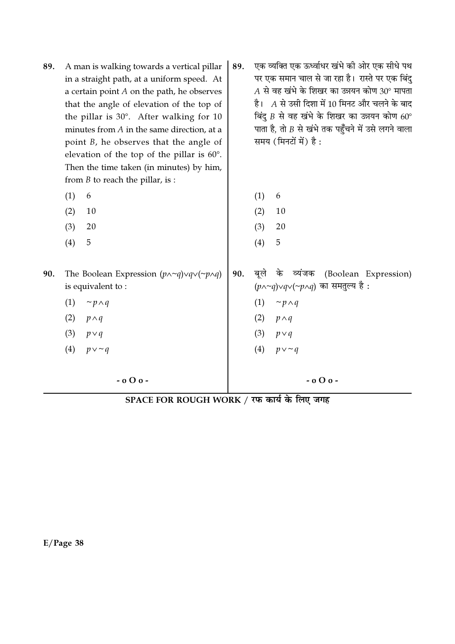- 89. A man is walking towards a vertical pillar in a straight path, at a uniform speed. At a certain point  $A$  on the path, he observes that the angle of elevation of the top of the pillar is 30°. After walking for 10 minutes from  $A$  in the same direction, at a point  $B$ , he observes that the angle of elevation of the top of the pillar is  $60^\circ$ . Then the time taken (in minutes) by him, from  $B$  to reach the pillar, is :
	- $(1)$ 6
	- $(2)$ 10
	- $(3)$ 20
	- 5  $(4)$
- The Boolean Expression  $(p \land \neg q) \lor q \lor (\neg p \land q)$ 90. is equivalent to:
	- $(1)$  $\neg p \wedge q$
	- $(2)$  $p \wedge q$
	- $(3)$  $p \vee q$
	- $p \vee \sim q$  $(4)$

 $-000-$ 

एक व्यक्ति एक ऊर्ध्वाधर खंभे की ओर एक सीधे पथ 89. पर एक समान चाल से जा रहा है। रास्ते पर एक बिंदु  $A$  से वह खंभे के शिखर का उन्नयन कोण 30° मापता है।  $\,$  A से उसी दिशा में 10 मिनट और चलने के बाद बिंदु  $B$  से वह खंभे के शिखर का उन्नयन कोण  $60^{\circ}$ पाता है, तो  $B$  से खंभे तक पहुँचने में उसे लगने वाला समय (मिनटों में) है:

- $(1)$  $\boldsymbol{6}$
- $(2)$ 10
- $(3)$ 20
- 5  $(4)$

90. बले के (Boolean Expression) व्यंजक (p^~q)vqv(~p^q) का समतुल्य है:

- $(1)$  $\neg p \wedge q$
- $(2)$  $p \wedge q$
- $(3)$  $p \vee q$
- $(4)$  $p \vee \sim q$

 $-0$  O  $0$  -

SPACE FOR ROUGH WORK / रफ कार्य के लिए जगह

 $E/Page$  38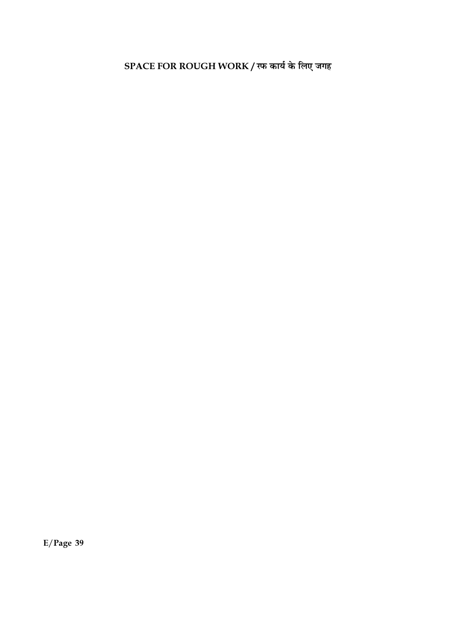$S$ PACE FOR ROUGH WORK / रफ कार्य के लिए जगह

E/Page 39